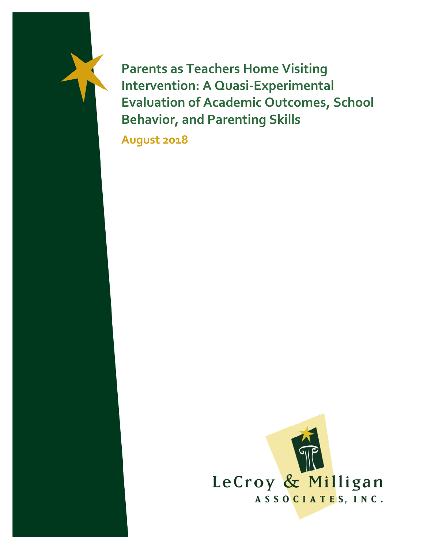**Parents as Teachers Home Visiting Intervention: A Quasi-Experimental Evaluation of Academic Outcomes, School Behavior, and Parenting Skills**

**August 2018**

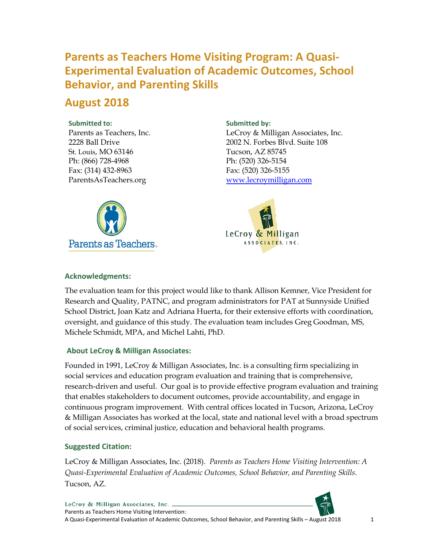## **Parents as Teachers Home Visiting Program: A Quasi-Experimental Evaluation of Academic Outcomes, School Behavior, and Parenting Skills**

### **August 2018**

#### **Submitted to:**

Parents as Teachers, Inc. 2228 Ball Drive St. Louis, MO 63146 Ph: (866) 728-4968 Fax: (314) 432-8963 ParentsAsTeachers.org



#### **Submitted by:**

LeCroy & Milligan Associates, Inc. 2002 N. Forbes Blvd. Suite 108 Tucson, AZ 85745 Ph: (520) 326-5154 Fax: (520) 326-5155 [www.lecroymilligan.com](http://www.lecroymilligan.com/)



#### **Acknowledgments:**

The evaluation team for this project would like to thank Allison Kemner, Vice President for Research and Quality, PATNC, and program administrators for PAT at Sunnyside Unified School District, Joan Katz and Adriana Huerta, for their extensive efforts with coordination, oversight, and guidance of this study. The evaluation team includes Greg Goodman, MS, Michele Schmidt, MPA, and Michel Lahti, PhD.

#### **About LeCroy & Milligan Associates:**

Founded in 1991, LeCroy & Milligan Associates, Inc. is a consulting firm specializing in social services and education program evaluation and training that is comprehensive, research-driven and useful. Our goal is to provide effective program evaluation and training that enables stakeholders to document outcomes, provide accountability, and engage in continuous program improvement. With central offices located in Tucson, Arizona, LeCroy & Milligan Associates has worked at the local, state and national level with a broad spectrum of social services, criminal justice, education and behavioral health programs.

#### **Suggested Citation:**

LeCroy & Milligan Associates, Inc. (2018). *Parents as Teachers Home Visiting Intervention: A Quasi-Experimental Evaluation of Academic Outcomes, School Behavior, and Parenting Skills*. Tucson, AZ.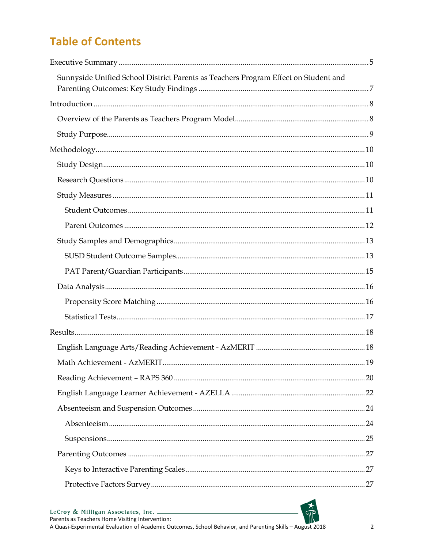# **Table of Contents**

| Sunnyside Unified School District Parents as Teachers Program Effect on Student and                                                                                                                                                                                                                                                                                                                                                                             |  |
|-----------------------------------------------------------------------------------------------------------------------------------------------------------------------------------------------------------------------------------------------------------------------------------------------------------------------------------------------------------------------------------------------------------------------------------------------------------------|--|
| $\label{eq:1} \mbox{Introduction} \,\, \ldots \,\, \ldots \,\, \ldots \,\, \ldots \,\, \ldots \,\, \ldots \,\, \ldots \,\, \ldots \,\, \ldots \,\, \ldots \,\, \ldots \,\, \ldots \,\, \ldots \,\, \ldots \,\, \ldots \,\, \ldots \,\, \ldots \,\, \ldots \,\, \ldots \,\, \ldots \,\, \ldots \,\, \ldots \,\, \ldots \,\, \ldots \,\, \ldots \,\, \ldots \,\, \ldots \,\, \ldots \,\, \ldots \,\, \ldots \,\, \ldots \,\, \ldots \,\, \ldots \,\, \ldots \,\,$ |  |
|                                                                                                                                                                                                                                                                                                                                                                                                                                                                 |  |
|                                                                                                                                                                                                                                                                                                                                                                                                                                                                 |  |
|                                                                                                                                                                                                                                                                                                                                                                                                                                                                 |  |
|                                                                                                                                                                                                                                                                                                                                                                                                                                                                 |  |
|                                                                                                                                                                                                                                                                                                                                                                                                                                                                 |  |
|                                                                                                                                                                                                                                                                                                                                                                                                                                                                 |  |
|                                                                                                                                                                                                                                                                                                                                                                                                                                                                 |  |
|                                                                                                                                                                                                                                                                                                                                                                                                                                                                 |  |
|                                                                                                                                                                                                                                                                                                                                                                                                                                                                 |  |
|                                                                                                                                                                                                                                                                                                                                                                                                                                                                 |  |
|                                                                                                                                                                                                                                                                                                                                                                                                                                                                 |  |
|                                                                                                                                                                                                                                                                                                                                                                                                                                                                 |  |
|                                                                                                                                                                                                                                                                                                                                                                                                                                                                 |  |
|                                                                                                                                                                                                                                                                                                                                                                                                                                                                 |  |
|                                                                                                                                                                                                                                                                                                                                                                                                                                                                 |  |
|                                                                                                                                                                                                                                                                                                                                                                                                                                                                 |  |
|                                                                                                                                                                                                                                                                                                                                                                                                                                                                 |  |
|                                                                                                                                                                                                                                                                                                                                                                                                                                                                 |  |
|                                                                                                                                                                                                                                                                                                                                                                                                                                                                 |  |
|                                                                                                                                                                                                                                                                                                                                                                                                                                                                 |  |
|                                                                                                                                                                                                                                                                                                                                                                                                                                                                 |  |
|                                                                                                                                                                                                                                                                                                                                                                                                                                                                 |  |
|                                                                                                                                                                                                                                                                                                                                                                                                                                                                 |  |
|                                                                                                                                                                                                                                                                                                                                                                                                                                                                 |  |
|                                                                                                                                                                                                                                                                                                                                                                                                                                                                 |  |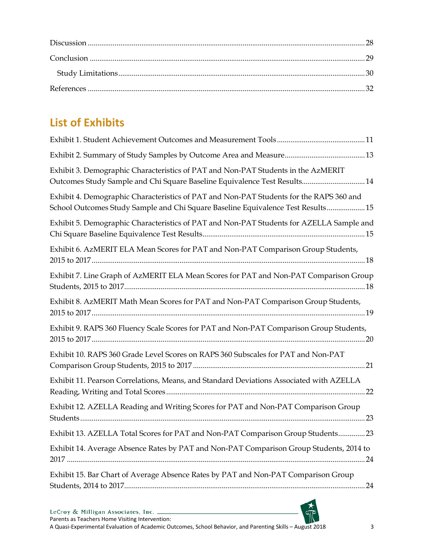# **List of Exhibits**

| Exhibit 3. Demographic Characteristics of PAT and Non-PAT Students in the AzMERIT<br>Outcomes Study Sample and Chi Square Baseline Equivalence Test Results 14              |
|-----------------------------------------------------------------------------------------------------------------------------------------------------------------------------|
| Exhibit 4. Demographic Characteristics of PAT and Non-PAT Students for the RAPS 360 and<br>School Outcomes Study Sample and Chi Square Baseline Equivalence Test Results 15 |
| Exhibit 5. Demographic Characteristics of PAT and Non-PAT Students for AZELLA Sample and                                                                                    |
| Exhibit 6. AzMERIT ELA Mean Scores for PAT and Non-PAT Comparison Group Students,                                                                                           |
| Exhibit 7. Line Graph of AzMERIT ELA Mean Scores for PAT and Non-PAT Comparison Group                                                                                       |
| Exhibit 8. AzMERIT Math Mean Scores for PAT and Non-PAT Comparison Group Students,                                                                                          |
| Exhibit 9. RAPS 360 Fluency Scale Scores for PAT and Non-PAT Comparison Group Students,                                                                                     |
| Exhibit 10. RAPS 360 Grade Level Scores on RAPS 360 Subscales for PAT and Non-PAT                                                                                           |
| Exhibit 11. Pearson Correlations, Means, and Standard Deviations Associated with AZELLA                                                                                     |
| Exhibit 12. AZELLA Reading and Writing Scores for PAT and Non-PAT Comparison Group                                                                                          |
| Exhibit 13. AZELLA Total Scores for PAT and Non-PAT Comparison Group Students 23                                                                                            |
| Exhibit 14. Average Absence Rates by PAT and Non-PAT Comparison Group Students, 2014 to                                                                                     |
| Exhibit 15. Bar Chart of Average Absence Rates by PAT and Non-PAT Comparison Group                                                                                          |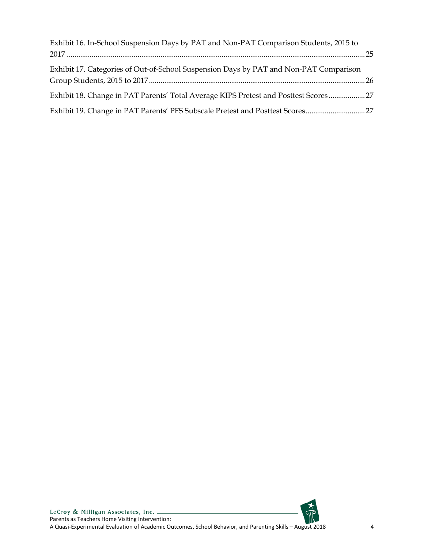| Exhibit 16. In-School Suspension Days by PAT and Non-PAT Comparison Students, 2015 to |  |
|---------------------------------------------------------------------------------------|--|
|                                                                                       |  |
| Exhibit 17. Categories of Out-of-School Suspension Days by PAT and Non-PAT Comparison |  |
| Exhibit 18. Change in PAT Parents' Total Average KIPS Pretest and Posttest Scores 27  |  |
| Exhibit 19. Change in PAT Parents' PFS Subscale Pretest and Posttest Scores 27        |  |

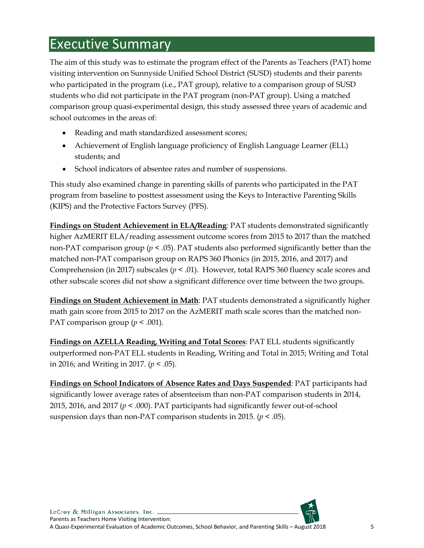# <span id="page-5-0"></span>Executive Summary

The aim of this study was to estimate the program effect of the Parents as Teachers (PAT) home visiting intervention on Sunnyside Unified School District (SUSD) students and their parents who participated in the program (i.e., PAT group), relative to a comparison group of SUSD students who did not participate in the PAT program (non-PAT group). Using a matched comparison group quasi-experimental design, this study assessed three years of academic and school outcomes in the areas of:

- Reading and math standardized assessment scores;
- Achievement of English language proficiency of English Language Learner (ELL) students; and
- School indicators of absentee rates and number of suspensions.

This study also examined change in parenting skills of parents who participated in the PAT program from baseline to posttest assessment using the Keys to Interactive Parenting Skills (KIPS) and the Protective Factors Survey (PFS).

**Findings on Student Achievement in ELA/Reading**: PAT students demonstrated significantly higher AzMERIT ELA/reading assessment outcome scores from 2015 to 2017 than the matched non-PAT comparison group (*p* < .05). PAT students also performed significantly better than the matched non-PAT comparison group on RAPS 360 Phonics (in 2015, 2016, and 2017) and Comprehension (in 2017) subscales ( $p < .01$ ). However, total RAPS 360 fluency scale scores and other subscale scores did not show a significant difference over time between the two groups.

**Findings on Student Achievement in Math**: PAT students demonstrated a significantly higher math gain score from 2015 to 2017 on the AzMERIT math scale scores than the matched non-PAT comparison group ( $p < .001$ ).

**Findings on AZELLA Reading, Writing and Total Scores**: PAT ELL students significantly outperformed non-PAT ELL students in Reading, Writing and Total in 2015; Writing and Total in 2016; and Writing in 2017. (*p* < .05).

**Findings on School Indicators of Absence Rates and Days Suspended**: PAT participants had significantly lower average rates of absenteeism than non-PAT comparison students in 2014, 2015, 2016, and 2017 (*p* < .000). PAT participants had significantly fewer out-of-school suspension days than non-PAT comparison students in 2015. (*p* < .05).

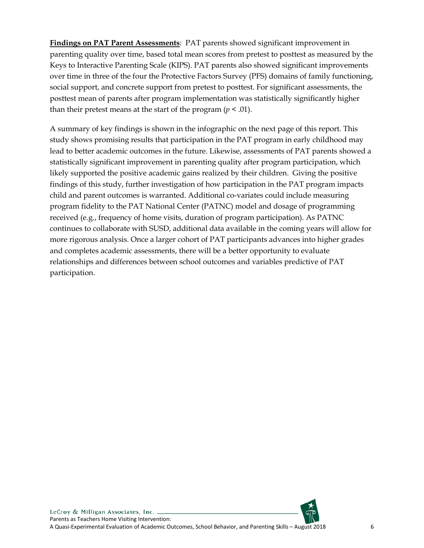**Findings on PAT Parent Assessments**: PAT parents showed significant improvement in parenting quality over time, based total mean scores from pretest to posttest as measured by the Keys to Interactive Parenting Scale (KIPS). PAT parents also showed significant improvements over time in three of the four the Protective Factors Survey (PFS) domains of family functioning, social support, and concrete support from pretest to posttest. For significant assessments, the posttest mean of parents after program implementation was statistically significantly higher than their pretest means at the start of the program  $(p < .01)$ .

A summary of key findings is shown in the infographic on the next page of this report. This study shows promising results that participation in the PAT program in early childhood may lead to better academic outcomes in the future. Likewise, assessments of PAT parents showed a statistically significant improvement in parenting quality after program participation, which likely supported the positive academic gains realized by their children. Giving the positive findings of this study, further investigation of how participation in the PAT program impacts child and parent outcomes is warranted. Additional co-variates could include measuring program fidelity to the PAT National Center (PATNC) model and dosage of programming received (e.g., frequency of home visits, duration of program participation). As PATNC continues to collaborate with SUSD, additional data available in the coming years will allow for more rigorous analysis. Once a larger cohort of PAT participants advances into higher grades and completes academic assessments, there will be a better opportunity to evaluate relationships and differences between school outcomes and variables predictive of PAT participation.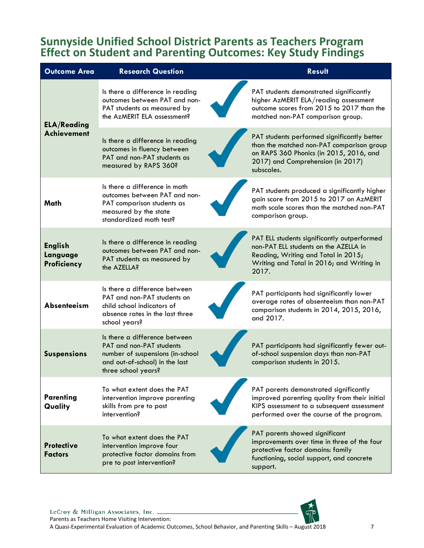### <span id="page-7-0"></span>**Sunnyside Unified School District Parents as Teachers Program Effect on Student and Parenting Outcomes: Key Study Findings**

| <b>Outcome Area</b>                       | <b>Research Question</b>                                                                                                                               | <b>Result</b>                                                                                                                                                                          |
|-------------------------------------------|--------------------------------------------------------------------------------------------------------------------------------------------------------|----------------------------------------------------------------------------------------------------------------------------------------------------------------------------------------|
| <b>ELA/Reading</b>                        | Is there a difference in reading<br>outcomes between PAT and non-<br>PAT students as measured by<br>the AzMERIT ELA assessment?                        | PAT students demonstrated significantly<br>higher AzMERIT ELA/reading assessment<br>outcome scores from 2015 to 2017 than the<br>matched non-PAT comparison group.                     |
| <b>Achievement</b>                        | Is there a difference in reading<br>outcomes in fluency between<br>PAT and non-PAT students as<br>measured by RAPS 360?                                | PAT students performed significantly better<br>than the matched non-PAT comparison group<br>on RAPS 360 Phonics (in 2015, 2016, and<br>2017) and Comprehension (in 2017)<br>subscales. |
| Math                                      | Is there a difference in math<br>outcomes between PAT and non-<br>PAT comparison students as<br>measured by the state<br>standardized math test?       | PAT students produced a significantly higher<br>gain score from 2015 to 2017 on AzMERIT<br>math scale scores than the matched non-PAT<br>comparison group.                             |
| <b>English</b><br>Language<br>Proficiency | Is there a difference in reading<br>outcomes between PAT and non-<br>PAT students as measured by<br>the AZELLA?                                        | PAT ELL students significantly outperformed<br>non-PAT ELL students on the AZELLA in<br>Reading, Writing and Total in 2015;<br>Writing and Total in 2016; and Writing in<br>2017.      |
| Absenteeism                               | Is there a difference between<br>PAT and non-PAT students on<br>child school indicators of<br>absence rates in the last three<br>school years?         | PAT participants had significantly lower<br>average rates of absenteeism than non-PAT<br>comparison students in 2014, 2015, 2016,<br>and 2017.                                         |
| <b>Suspensions</b>                        | Is there a difference between<br>PAT and non-PAT students<br>number of suspensions (in-school<br>and out-of-school) in the last<br>three school years? | PAT participants had significantly fewer out-<br>of-school suspension days than non-PAT<br>comparison students in 2015.                                                                |
| <b>Parenting</b><br>Quality               | To what extent does the PAT<br>intervention improve parenting<br>skills from pre to post<br>intervention?                                              | PAT parents demonstrated significantly<br>improved parenting quality from their initial<br>KIPS assessment to a subsequent assessment<br>performed over the course of the program.     |
| <b>Protective</b><br><b>Factors</b>       | To what extent does the PAT<br>intervention improve four<br>protective factor domains from<br>pre to post intervention?                                | PAT parents showed significant<br>improvements over time in three of the four<br>protective factor domains: family<br>functioning, social support, and concrete<br>support.            |

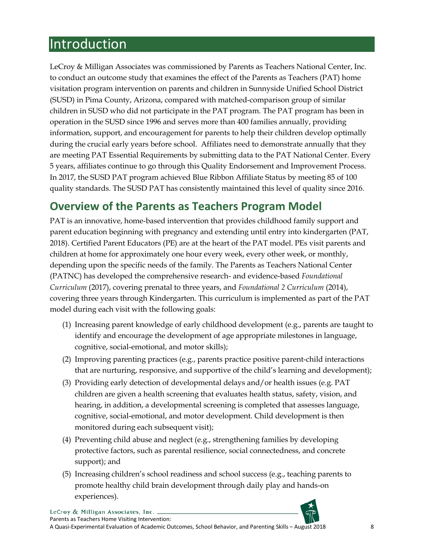# <span id="page-8-0"></span>Introduction

LeCroy & Milligan Associates was commissioned by Parents as Teachers National Center, Inc. to conduct an outcome study that examines the effect of the Parents as Teachers (PAT) home visitation program intervention on parents and children in Sunnyside Unified School District (SUSD) in Pima County, Arizona, compared with matched-comparison group of similar children in SUSD who did not participate in the PAT program. The PAT program has been in operation in the SUSD since 1996 and serves more than 400 families annually, providing information, support, and encouragement for parents to help their children develop optimally during the crucial early years before school. Affiliates need to demonstrate annually that they are meeting PAT Essential Requirements by submitting data to the PAT National Center. Every 5 years, affiliates continue to go through this Quality Endorsement and Improvement Process. In 2017, the SUSD PAT program achieved Blue Ribbon Affiliate Status by meeting 85 of 100 quality standards. The SUSD PAT has consistently maintained this level of quality since 2016.

### <span id="page-8-1"></span>**Overview of the Parents as Teachers Program Model**

PAT is an innovative, home-based intervention that provides childhood family support and parent education beginning with pregnancy and extending until entry into kindergarten (PAT, 2018). Certified Parent Educators (PE) are at the heart of the PAT model. PEs visit parents and children at home for approximately one hour every week, every other week, or monthly, depending upon the specific needs of the family. The Parents as Teachers National Center (PATNC) has developed the comprehensive research- and evidence-based *Foundational Curriculum* (2017), covering prenatal to three years, and *Foundational 2 Curriculum* (2014), covering three years through Kindergarten. This curriculum is implemented as part of the PAT model during each visit with the following goals:

- (1) Increasing parent knowledge of early childhood development (e.g., parents are taught to identify and encourage the development of age appropriate milestones in language, cognitive, social-emotional, and motor skills);
- (2) Improving parenting practices (e.g., parents practice positive parent-child interactions that are nurturing, responsive, and supportive of the child's learning and development);
- (3) Providing early detection of developmental delays and/or health issues (e.g. PAT children are given a health screening that evaluates health status, safety, vision, and hearing, in addition, a developmental screening is completed that assesses language, cognitive, social-emotional, and motor development. Child development is then monitored during each subsequent visit);
- (4) Preventing child abuse and neglect (e.g., strengthening families by developing protective factors, such as parental resilience, social connectedness, and concrete support); and
- (5) Increasing children's school readiness and school success (e.g., teaching parents to promote healthy child brain development through daily play and hands-on experiences).

LeCroy & Milligan Associates, Inc. . Parents as Teachers Home Visiting Intervention:

A Quasi-Experimental Evaluation of Academic Outcomes, School Behavior, and Parenting Skills – August 2018 8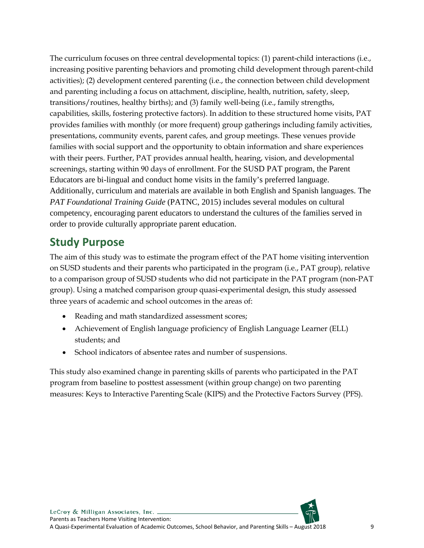The curriculum focuses on three central developmental topics: (1) parent-child interactions (i.e., increasing positive parenting behaviors and promoting child development through parent-child activities); (2) development centered parenting (i.e., the connection between child development and parenting including a focus on attachment, discipline, health, nutrition, safety, sleep, transitions/routines, healthy births); and (3) family well-being (i.e., family strengths, capabilities, skills, fostering protective factors). In addition to these structured home visits, PAT provides families with monthly (or more frequent) group gatherings including family activities, presentations, community events, parent cafes, and group meetings. These venues provide families with social support and the opportunity to obtain information and share experiences with their peers. Further, PAT provides annual health, hearing, vision, and developmental screenings, starting within 90 days of enrollment. For the SUSD PAT program, the Parent Educators are bi-lingual and conduct home visits in the family's preferred language. Additionally, curriculum and materials are available in both English and Spanish languages. The *PAT Foundational Training Guide* (PATNC, 2015) includes several modules on cultural competency, encouraging parent educators to understand the cultures of the families served in order to provide culturally appropriate parent education.

### <span id="page-9-0"></span>**Study Purpose**

The aim of this study was to estimate the program effect of the PAT home visiting intervention on SUSD students and their parents who participated in the program (i.e., PAT group), relative to a comparison group of SUSD students who did not participate in the PAT program (non-PAT group). Using a matched comparison group quasi-experimental design, this study assessed three years of academic and school outcomes in the areas of:

- Reading and math standardized assessment scores;
- Achievement of English language proficiency of English Language Learner (ELL) students; and
- School indicators of absentee rates and number of suspensions.

This study also examined change in parenting skills of parents who participated in the PAT program from baseline to posttest assessment (within group change) on two parenting measures: Keys to Interactive Parenting Scale (KIPS) and the Protective Factors Survey (PFS).

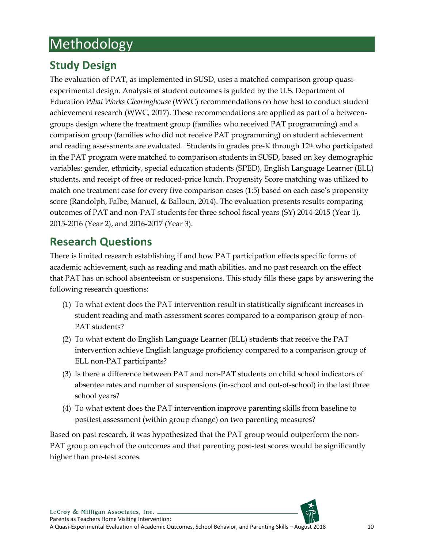# <span id="page-10-0"></span>Methodology

## <span id="page-10-1"></span>**Study Design**

The evaluation of PAT, as implemented in SUSD, uses a matched comparison group quasiexperimental design. Analysis of student outcomes is guided by the U.S. Department of Education *What Works Clearinghouse* (WWC) recommendations on how best to conduct student achievement research (WWC, 2017). These recommendations are applied as part of a betweengroups design where the treatment group (families who received PAT programming) and a comparison group (families who did not receive PAT programming) on student achievement and reading assessments are evaluated. Students in grades pre-K through 12th who participated in the PAT program were matched to comparison students in SUSD, based on key demographic variables: gender, ethnicity, special education students (SPED), English Language Learner (ELL) students, and receipt of free or reduced-price lunch. Propensity Score matching was utilized to match one treatment case for every five comparison cases (1:5) based on each case's propensity score (Randolph, Falbe, Manuel, & Balloun, 2014). The evaluation presents results comparing outcomes of PAT and non-PAT students for three school fiscal years (SY) 2014-2015 (Year 1), 2015-2016 (Year 2), and 2016-2017 (Year 3).

### <span id="page-10-2"></span>**Research Questions**

There is limited research establishing if and how PAT participation effects specific forms of academic achievement, such as reading and math abilities, and no past research on the effect that PAT has on school absenteeism or suspensions. This study fills these gaps by answering the following research questions:

- (1) To what extent does the PAT intervention result in statistically significant increases in student reading and math assessment scores compared to a comparison group of non-PAT students?
- (2) To what extent do English Language Learner (ELL) students that receive the PAT intervention achieve English language proficiency compared to a comparison group of ELL non-PAT participants?
- (3) Is there a difference between PAT and non-PAT students on child school indicators of absentee rates and number of suspensions (in-school and out-of-school) in the last three school years?
- (4) To what extent does the PAT intervention improve parenting skills from baseline to posttest assessment (within group change) on two parenting measures?

Based on past research, it was hypothesized that the PAT group would outperform the non-PAT group on each of the outcomes and that parenting post-test scores would be significantly higher than pre-test scores.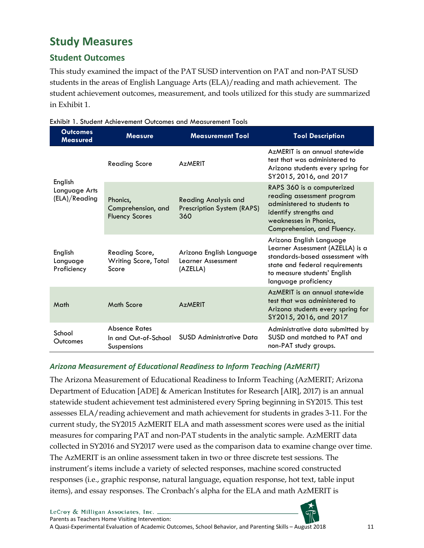## <span id="page-11-0"></span>**Study Measures**

### <span id="page-11-1"></span>**Student Outcomes**

This study examined the impact of the PAT SUSD intervention on PAT and non-PAT SUSD students in the areas of English Language Arts (ELA)/reading and math achievement. The student achievement outcomes, measurement, and tools utilized for this study are summarized in Exhibit 1.

| <b>Outcomes</b><br><b>Measured</b>        | <b>Measure</b>                                              | <b>Measurement Tool</b>                                          | <b>Tool Description</b>                                                                                                                                                                   |
|-------------------------------------------|-------------------------------------------------------------|------------------------------------------------------------------|-------------------------------------------------------------------------------------------------------------------------------------------------------------------------------------------|
|                                           | <b>Reading Score</b>                                        | <b>AzMERIT</b>                                                   | AzMERIT is an annual statewide<br>test that was administered to<br>Arizona students every spring for<br>SY2015, 2016, and 2017                                                            |
| English<br>Language Arts<br>(ELA)/Reading | Phonics,<br>Comprehension, and<br><b>Fluency Scores</b>     | <b>Reading Analysis and</b><br>Prescription System (RAPS)<br>360 | RAPS 360 is a computerized<br>reading assessment program<br>administered to students to<br>identify strengths and<br>weaknesses in Phonics,<br>Comprehension, and Fluency.                |
| English<br>Language<br>Proficiency        | Reading Score,<br><b>Writing Score, Total</b><br>Score      | Arizona English Language<br>Learner Assessment<br>(AZELLA)       | Arizona English Language<br>Learner Assessment (AZELLA) is a<br>standards-based assessment with<br>state and federal requirements<br>to measure students' English<br>language proficiency |
| Math                                      | Math Score                                                  | AzMERIT                                                          | AzMERIT is an annual statewide<br>test that was administered to<br>Arizona students every spring for<br>SY2015, 2016, and 2017                                                            |
| School<br>Outcomes                        | <b>Absence Rates</b><br>In and Out-of-School<br>Suspensions | SUSD Administrative Data                                         | Administrative data submitted by<br>SUSD and matched to PAT and<br>non-PAT study groups.                                                                                                  |

<span id="page-11-2"></span>Exhibit 1. Student Achievement Outcomes and Measurement Tools

#### *Arizona Measurement of Educational Readiness to Inform Teaching (AzMERIT)*

The Arizona Measurement of Educational Readiness to Inform Teaching (AzMERIT; Arizona Department of Education [ADE] & American Institutes for Research [AIR], 2017) is an annual statewide student achievement test administered every Spring beginning in SY2015. This test assesses ELA/reading achievement and math achievement for students in grades 3-11. For the current study, the SY2015 AzMERIT ELA and math assessment scores were used as the initial measures for comparing PAT and non-PAT students in the analytic sample. AzMERIT data collected in SY2016 and SY2017 were used as the comparison data to examine change over time. The AzMERIT is an online assessment taken in two or three discrete test sessions. The instrument's items include a variety of selected responses, machine scored constructed responses (i.e., graphic response, natural language, equation response, hot text, table input items), and essay responses. The Cronbach's alpha for the ELA and math AzMERIT is

LeCroy & Milligan Associates, Inc. Parents as Teachers Home Visiting Intervention:

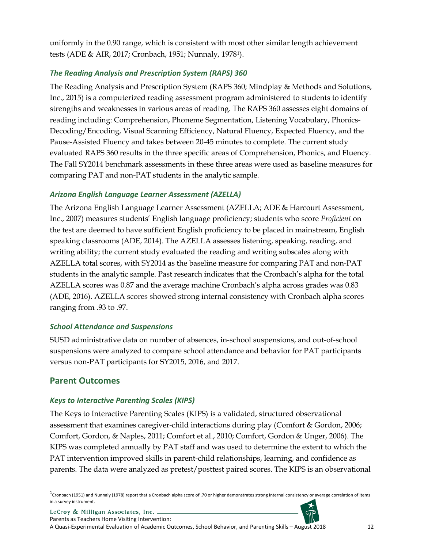uniformly in the 0.90 range, which is consistent with most other similar length achievement tests (ADE & AIR, 2017; Cronbach, 1951; Nunnaly, 197[81\)](#page-12-1).

#### *The Reading Analysis and Prescription System (RAPS) 360*

The Reading Analysis and Prescription System (RAPS 360; Mindplay & Methods and Solutions, Inc., 2015) is a computerized reading assessment program administered to students to identify strengths and weaknesses in various areas of reading. The RAPS 360 assesses eight domains of reading including: Comprehension, Phoneme Segmentation, Listening Vocabulary, Phonics-Decoding/Encoding, Visual Scanning Efficiency, Natural Fluency, Expected Fluency, and the Pause-Assisted Fluency and takes between 20-45 minutes to complete. The current study evaluated RAPS 360 results in the three specific areas of Comprehension, Phonics, and Fluency. The Fall SY2014 benchmark assessments in these three areas were used as baseline measures for comparing PAT and non-PAT students in the analytic sample.

#### *Arizona English Language Learner Assessment (AZELLA)*

The Arizona English Language Learner Assessment (AZELLA; ADE & Harcourt Assessment, Inc., 2007) measures students' English language proficiency; students who score *Proficient* on the test are deemed to have sufficient English proficiency to be placed in mainstream, English speaking classrooms (ADE, 2014). The AZELLA assesses listening, speaking, reading, and writing ability; the current study evaluated the reading and writing subscales along with AZELLA total scores, with SY2014 as the baseline measure for comparing PAT and non-PAT students in the analytic sample. Past research indicates that the Cronbach's alpha for the total AZELLA scores was 0.87 and the average machine Cronbach's alpha across grades was 0.83 (ADE, 2016). AZELLA scores showed strong internal consistency with Cronbach alpha scores ranging from .93 to .97.

#### *School Attendance and Suspensions*

SUSD administrative data on number of absences, in-school suspensions, and out-of-school suspensions were analyzed to compare school attendance and behavior for PAT participants versus non-PAT participants for SY2015, 2016, and 2017.

### <span id="page-12-0"></span>**Parent Outcomes**

 $\overline{a}$ 

#### *Keys to Interactive Parenting Scales (KIPS)*

The Keys to Interactive Parenting Scales (KIPS) is a validated, structured observational assessment that examines caregiver-child interactions during play (Comfort & Gordon, 2006; Comfort, Gordon, & Naples, 2011; Comfort et al., 2010; Comfort, Gordon & Unger, 2006). The KIPS was completed annually by PAT staff and was used to determine the extent to which the PAT intervention improved skills in parent-child relationships, learning, and confidence as parents. The data were analyzed as pretest/posttest paired scores. The KIPS is an observational

LeCroy & Milligan Associates, Inc. \_



<span id="page-12-1"></span> $1$ Cronbach (1951) and Nunnaly (1978) report that a Cronbach alpha score of .70 or higher demonstrates strong internal consistency or average correlation of items in a survey instrument.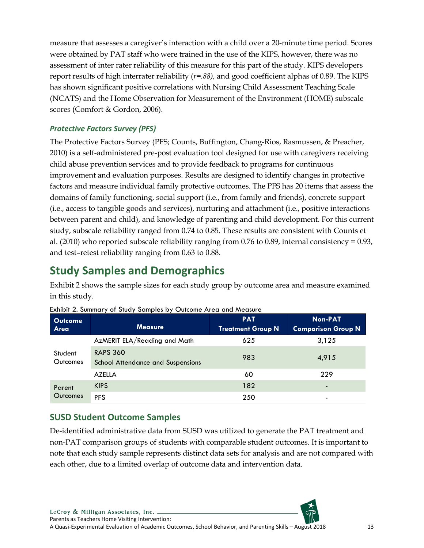measure that assesses a caregiver's interaction with a child over a 20-minute time period. Scores were obtained by PAT staff who were trained in the use of the KIPS, however, there was no assessment of inter rater reliability of this measure for this part of the study. KIPS developers report results of high interrater reliability (*r=.88),* and good coefficient alphas of 0.89. The KIPS has shown significant positive correlations with Nursing Child Assessment Teaching Scale (NCATS) and the Home Observation for Measurement of the Environment (HOME) subscale scores (Comfort & Gordon, 2006).

#### *Protective Factors Survey (PFS)*

The Protective Factors Survey (PFS; Counts, Buffington, Chang-Rios, Rasmussen, & Preacher, 2010) is a self-administered pre-post evaluation tool designed for use with caregivers receiving child abuse prevention services and to provide feedback to programs for continuous improvement and evaluation purposes. Results are designed to identify changes in protective factors and measure individual family protective outcomes. The PFS has 20 items that assess the domains of family functioning, social support (i.e., from family and friends), concrete support (i.e., access to tangible goods and services), nurturing and attachment (i.e., positive interactions between parent and child), and knowledge of parenting and child development. For this current study, subscale reliability ranged from 0.74 to 0.85. These results are consistent with Counts et al. (2010) who reported subscale reliability ranging from 0.76 to 0.89, internal consistency = 0.93, and test–retest reliability ranging from 0.63 to 0.88.

## <span id="page-13-0"></span>**Study Samples and Demographics**

Exhibit 2 shows the sample sizes for each study group by outcome area and measure examined in this study.

| <b>Outcome</b><br>Area | <b>Measure</b>                                              | <b>PAT</b><br><b>Treatment Group N</b> | Non-PAT<br><b>Comparison Group N</b> |
|------------------------|-------------------------------------------------------------|----------------------------------------|--------------------------------------|
|                        | AzMERIT ELA/Reading and Math                                | 625                                    | 3,125                                |
| Student<br>Outcomes    | <b>RAPS 360</b><br><b>School Attendance and Suspensions</b> | 983                                    | 4,915                                |
|                        | <b>AZELLA</b>                                               | 60                                     | 229                                  |
| Parent<br>Outcomes     | <b>KIPS</b>                                                 | 182                                    | -                                    |
|                        | <b>PFS</b>                                                  | 250                                    | -                                    |

<span id="page-13-2"></span>

| Exhibit 2. Summary of Study Samples by Outcome Area and Measure |  |  |  |  |  |  |  |  |  |  |  |  |
|-----------------------------------------------------------------|--|--|--|--|--|--|--|--|--|--|--|--|
|-----------------------------------------------------------------|--|--|--|--|--|--|--|--|--|--|--|--|

### <span id="page-13-1"></span>**SUSD Student Outcome Samples**

De-identified administrative data from SUSD was utilized to generate the PAT treatment and non-PAT comparison groups of students with comparable student outcomes. It is important to note that each study sample represents distinct data sets for analysis and are not compared with each other, due to a limited overlap of outcome data and intervention data.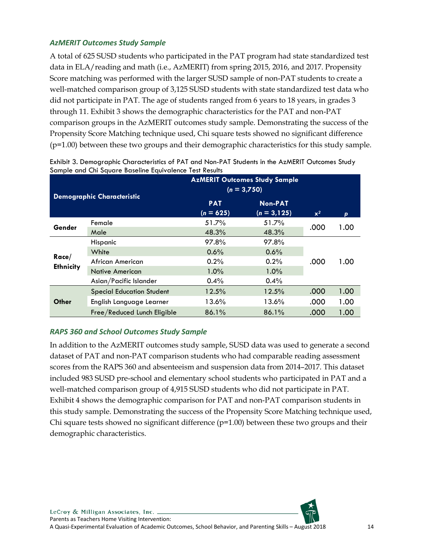#### *AzMERIT Outcomes Study Sample*

A total of 625 SUSD students who participated in the PAT program had state standardized test data in ELA/reading and math (i.e., AzMERIT) from spring 2015, 2016, and 2017. Propensity Score matching was performed with the larger SUSD sample of non-PAT students to create a well-matched comparison group of 3,125 SUSD students with state standardized test data who did not participate in PAT. The age of students ranged from 6 years to 18 years, in grades 3 through 11. Exhibit 3 shows the demographic characteristics for the PAT and non-PAT comparison groups in the AzMERIT outcomes study sample. Demonstrating the success of the Propensity Score Matching technique used, Chi square tests showed no significant difference (p=1.00) between these two groups and their demographic characteristics for this study sample.

|                    | <b>Demographic Characteristic</b> | <b>AzMERIT Outcomes Study Sample</b><br>$(n = 3,750)$         |       |       |      |  |
|--------------------|-----------------------------------|---------------------------------------------------------------|-------|-------|------|--|
|                    |                                   | <b>Non-PAT</b><br><b>PAT</b><br>$(n = 625)$<br>$(n = 3, 125)$ |       | $x^2$ | p    |  |
| Gender             | Female                            | 51.7%                                                         | 51.7% | .000  | 1.00 |  |
|                    | Male                              | 48.3%                                                         | 48.3% |       |      |  |
| Race/<br>Ethnicity | Hispanic                          | 97.8%                                                         | 97.8% |       |      |  |
|                    | White                             | 0.6%                                                          | 0.6%  |       |      |  |
|                    | African American                  | 0.2%                                                          | 0.2%  | .000  | 1.00 |  |
|                    | Native American                   | 1.0%                                                          | 1.0%  |       |      |  |
|                    | Asian/Pacific Islander            | 0.4%                                                          | 0.4%  |       |      |  |
| Other              | <b>Special Education Student</b>  | 12.5%                                                         | 12.5% | .000  | 1.00 |  |
|                    | English Language Learner          | 13.6%                                                         | 13.6% | .000  | 1.00 |  |
|                    | Free/Reduced Lunch Eligible       | 86.1%                                                         | 86.1% | .000  | 1.00 |  |

<span id="page-14-0"></span>Exhibit 3. Demographic Characteristics of PAT and Non-PAT Students in the AzMERIT Outcomes Study Sample and Chi Square Baseline Equivalence Test Results

#### *RAPS 360 and School Outcomes Study Sample*

In addition to the AzMERIT outcomes study sample, SUSD data was used to generate a second dataset of PAT and non-PAT comparison students who had comparable reading assessment scores from the RAPS 360 and absenteeism and suspension data from 2014–2017. This dataset included 983 SUSD pre-school and elementary school students who participated in PAT and a well-matched comparison group of 4,915 SUSD students who did not participate in PAT. Exhibit 4 shows the demographic comparison for PAT and non-PAT comparison students in this study sample. Demonstrating the success of the Propensity Score Matching technique used, Chi square tests showed no significant difference  $(p=1.00)$  between these two groups and their demographic characteristics.

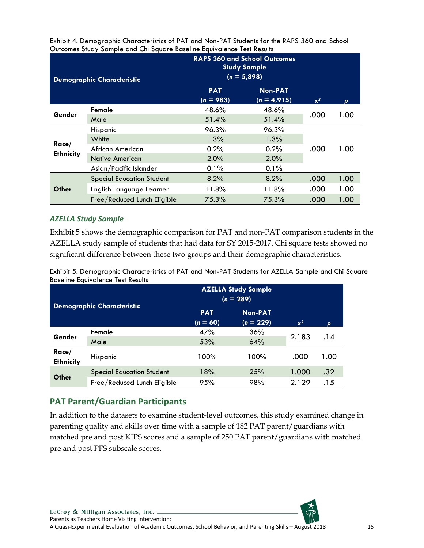|                    | <b>Demographic Characteristic</b>                                    | <b>RAPS 360 and School Outcomes</b><br><b>Study Sample</b><br>$(n = 5,898)$ |                                 |       |      |
|--------------------|----------------------------------------------------------------------|-----------------------------------------------------------------------------|---------------------------------|-------|------|
|                    |                                                                      | <b>PAT</b><br>$(n = 983)$                                                   | <b>Non-PAT</b><br>$(n = 4,915)$ | $x^2$ | p    |
| Gender             | Female<br>Male                                                       | 48.6%<br>51.4%                                                              | 48.6%<br>51.4%                  | .000  | 1.00 |
| Race/<br>Ethnicity | Hispanic<br>White                                                    | 96.3%<br>1.3%                                                               | 96.3%<br>1.3%                   |       |      |
|                    | African American<br><b>Native American</b><br>Asian/Pacific Islander | 0.2%<br>2.0%<br>0.1%                                                        | 0.2%<br>2.0%<br>0.1%            | .000  | 1.00 |
| Other              | <b>Special Education Student</b>                                     | 8.2%                                                                        | 8.2%                            | .000  | 1.00 |
|                    | English Language Learner                                             | 11.8%                                                                       | 11.8%                           | .000  | 1.00 |
|                    | Free/Reduced Lunch Eligible                                          | 75.3%                                                                       | 75.3%                           | .000  | 1.00 |

<span id="page-15-1"></span>Exhibit 4. Demographic Characteristics of PAT and Non-PAT Students for the RAPS 360 and School Outcomes Study Sample and Chi Square Baseline Equivalence Test Results

#### *AZELLA Study Sample*

Exhibit 5 shows the demographic comparison for PAT and non-PAT comparison students in the AZELLA study sample of students that had data for SY 2015-2017. Chi square tests showed no significant difference between these two groups and their demographic characteristics.

<span id="page-15-2"></span>Exhibit 5. Demographic Characteristics of PAT and Non-PAT Students for AZELLA Sample and Chi Square Baseline Equivalence Test Results

|                    |                                   | <b>AZELLA Study Sample</b><br>$(n = 289)$ |                               |       |      |
|--------------------|-----------------------------------|-------------------------------------------|-------------------------------|-------|------|
|                    | <b>Demographic Characteristic</b> | <b>PAT</b><br>$(n = 60)$                  | <b>Non-PAT</b><br>$(n = 229)$ | $x^2$ | p    |
| Gender             | Female<br>Male                    | 47%<br>53%                                | 36%<br>64%                    | 2.183 | .14  |
| Race/<br>Ethnicity | Hispanic                          | 100%                                      | 100%                          | .000  | 1.00 |
| Other              | <b>Special Education Student</b>  | 18%                                       | 25%                           | 1.000 | .32  |
|                    | Free/Reduced Lunch Eligible       | 95%                                       | 98%                           | 2.129 | .15  |

### <span id="page-15-0"></span>**PAT Parent/Guardian Participants**

In addition to the datasets to examine student-level outcomes, this study examined change in parenting quality and skills over time with a sample of 182 PAT parent/guardians with matched pre and post KIPS scores and a sample of 250 PAT parent/guardians with matched pre and post PFS subscale scores.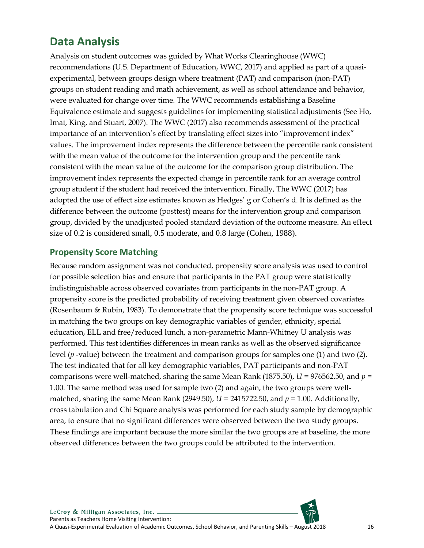## <span id="page-16-0"></span>**Data Analysis**

Analysis on student outcomes was guided by What Works Clearinghouse (WWC) recommendations (U.S. Department of Education, WWC, 2017) and applied as part of a quasiexperimental, between groups design where treatment (PAT) and comparison (non-PAT) groups on student reading and math achievement, as well as school attendance and behavior, were evaluated for change over time. The WWC recommends establishing a Baseline Equivalence estimate and suggests guidelines for implementing statistical adjustments (See Ho, Imai, King, and Stuart, 2007). The WWC (2017) also recommends assessment of the practical importance of an intervention's effect by translating effect sizes into "improvement index" values. The improvement index represents the difference between the percentile rank consistent with the mean value of the outcome for the intervention group and the percentile rank consistent with the mean value of the outcome for the comparison group distribution. The improvement index represents the expected change in percentile rank for an average control group student if the student had received the intervention. Finally, The WWC (2017) has adopted the use of effect size estimates known as Hedges' g or Cohen's d. It is defined as the difference between the outcome (posttest) means for the intervention group and comparison group, divided by the unadjusted pooled standard deviation of the outcome measure. An effect size of 0.2 is considered small, 0.5 moderate, and 0.8 large (Cohen, 1988).

#### <span id="page-16-1"></span>**Propensity Score Matching**

Because random assignment was not conducted, propensity score analysis was used to control for possible selection bias and ensure that participants in the PAT group were statistically indistinguishable across observed covariates from participants in the non-PAT group. A propensity score is the predicted probability of receiving treatment given observed covariates (Rosenbaum & Rubin, 1983). To demonstrate that the propensity score technique was successful in matching the two groups on key demographic variables of gender, ethnicity, special education, ELL and free/reduced lunch, a non-parametric Mann-Whitney U analysis was performed. This test identifies differences in mean ranks as well as the observed significance level (*p* -value) between the treatment and comparison groups for samples one (1) and two (2). The test indicated that for all key demographic variables, PAT participants and non-PAT comparisons were well-matched, sharing the same Mean Rank (1875.50), *U* = 976562.50, and *p* = 1.00. The same method was used for sample two (2) and again, the two groups were wellmatched, sharing the same Mean Rank (2949.50),  $U = 2415722.50$ , and  $p = 1.00$ . Additionally, cross tabulation and Chi Square analysis was performed for each study sample by demographic area, to ensure that no significant differences were observed between the two study groups. These findings are important because the more similar the two groups are at baseline, the more observed differences between the two groups could be attributed to the intervention.

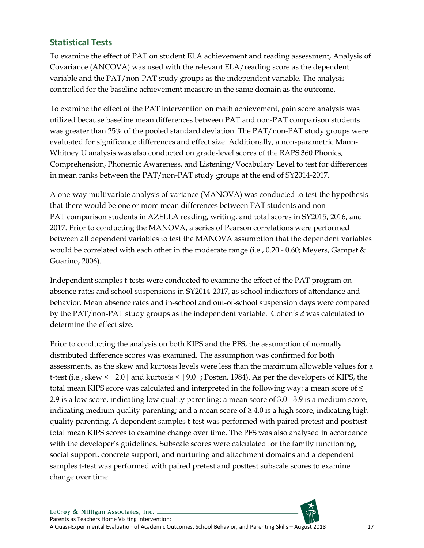### <span id="page-17-0"></span>**Statistical Tests**

To examine the effect of PAT on student ELA achievement and reading assessment, Analysis of Covariance (ANCOVA) was used with the relevant ELA/reading score as the dependent variable and the PAT/non-PAT study groups as the independent variable. The analysis controlled for the baseline achievement measure in the same domain as the outcome.

To examine the effect of the PAT intervention on math achievement, gain score analysis was utilized because baseline mean differences between PAT and non-PAT comparison students was greater than 25% of the pooled standard deviation. The PAT/non-PAT study groups were evaluated for significance differences and effect size. Additionally, a non-parametric Mann-Whitney U analysis was also conducted on grade-level scores of the RAPS 360 Phonics, Comprehension, Phonemic Awareness, and Listening/Vocabulary Level to test for differences in mean ranks between the PAT/non-PAT study groups at the end of SY2014-2017.

A one-way multivariate analysis of variance (MANOVA) was conducted to test the hypothesis that there would be one or more mean differences between PAT students and non-PAT comparison students in AZELLA reading, writing, and total scores in SY2015, 2016, and 2017. Prior to conducting the MANOVA, a series of Pearson correlations were performed between all dependent variables to test the MANOVA assumption that the dependent variables would be correlated with each other in the moderate range (i.e., 0.20 - 0.60; Meyers, Gampst & Guarino, 2006).

Independent samples t-tests were conducted to examine the effect of the PAT program on absence rates and school suspensions in SY2014-2017, as school indicators of attendance and behavior. Mean absence rates and in-school and out-of-school suspension days were compared by the PAT/non-PAT study groups as the independent variable. Cohen's *d* was calculated to determine the effect size.

Prior to conducting the analysis on both KIPS and the PFS, the assumption of normally distributed difference scores was examined. The assumption was confirmed for both assessments, as the skew and kurtosis levels were less than the maximum allowable values for a t-test (i.e., skew < |2.0| and kurtosis < |9.0|; Posten, 1984). As per the developers of KIPS, the total mean KIPS score was calculated and interpreted in the following way: a mean score of ≤ 2.9 is a low score, indicating low quality parenting; a mean score of 3.0 - 3.9 is a medium score, indicating medium quality parenting; and a mean score of  $\geq 4.0$  is a high score, indicating high quality parenting. A dependent samples t-test was performed with paired pretest and posttest total mean KIPS scores to examine change over time. The PFS was also analysed in accordance with the developer's guidelines. Subscale scores were calculated for the family functioning, social support, concrete support, and nurturing and attachment domains and a dependent samples t-test was performed with paired pretest and posttest subscale scores to examine change over time.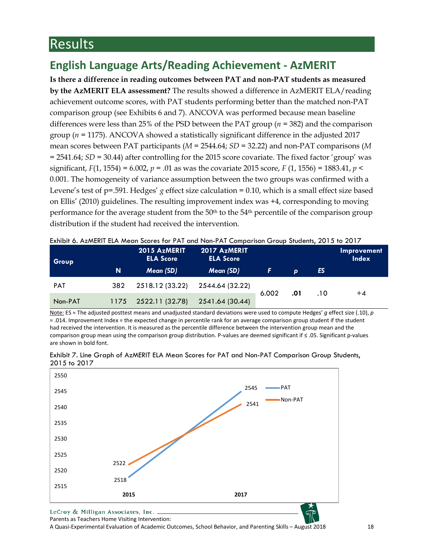# <span id="page-18-0"></span>Results

## <span id="page-18-1"></span>**English Language Arts/Reading Achievement - AzMERIT**

**Is there a difference in reading outcomes between PAT and non-PAT students as measured by the AzMERIT ELA assessment?** The results showed a difference in AzMERIT ELA/reading achievement outcome scores, with PAT students performing better than the matched non-PAT comparison group (see Exhibits 6 and 7). ANCOVA was performed because mean baseline differences were less than 25% of the PSD between the PAT group (*n* = 382) and the comparison group (*n* = 1175). ANCOVA showed a statistically significant difference in the adjusted 2017 mean scores between PAT participants (*M* = 2544.64; *SD* = 32.22) and non-PAT comparisons (*M* = 2541.64; *SD* = 30.44) after controlling for the 2015 score covariate. The fixed factor 'group' was significant, *F*(1, 1554) = 6.002, *p* = .01 as was the covariate 2015 score, *F* (1, 1556) = 1883.41, *p* < 0.001. The homogeneity of variance assumption between the two groups was confirmed with a Levene's test of p=.591. Hedges' *g* effect size calculation = 0.10, which is a small effect size based on Ellis' (2010) guidelines. The resulting improvement index was +4, corresponding to moving performance for the average student from the  $50<sup>th</sup>$  to the  $54<sup>th</sup>$  percentile of the comparison group distribution if the student had received the intervention.

| Group      |      | 2015 AzMERIT<br><b>ELA Score</b> | <b>LATING OF AZIMENT LLA MEGH SCOTES TOFFAT GHO TYOH-FAT COMPONISON CHOOD SIDGEINS, 2013 TO 2017</b><br>2017 AzMERIT<br><b>ELA Score</b> |       |              |     | Improvement<br><b>Index</b> |
|------------|------|----------------------------------|------------------------------------------------------------------------------------------------------------------------------------------|-------|--------------|-----|-----------------------------|
|            | N    | Mean (SD)                        | Mean (SD)                                                                                                                                | r     | $\mathbf{D}$ | ES  |                             |
| <b>PAT</b> | 382  | 2518.12 (33.22)                  | 2544.64 (32.22)                                                                                                                          | 6.002 | .01          | .10 | $+4$                        |
| Non-PAT    | 1175 | 2522.11 (32.78)                  | 2541.64 (30.44)                                                                                                                          |       |              |     |                             |

<span id="page-18-2"></span>Exhibit 6. AzMERIT ELA Mean Scores for PAT and Non-PAT Comparison Group Students, 2015 to 2017

Note: ES = The adjusted posttest means and unadjusted standard deviations were used to compute Hedges' *g* effect size (.10), *p* = .014. Improvement Index = the expected change in percentile rank for an average comparison group student if the student had received the intervention. It is measured as the percentile difference between the intervention group mean and the comparison group mean using the comparison group distribution. P-values are deemed significant if ≤ .05. Significant p-values are shown in bold font.



<span id="page-18-3"></span>Exhibit 7. Line Graph of AzMERIT ELA Mean Scores for PAT and Non-PAT Comparison Group Students, 2015 to 2017

LeCroy & Milligan Associates, Inc. . Parents as Teachers Home Visiting Intervention:

A Quasi-Experimental Evaluation of Academic Outcomes, School Behavior, and Parenting Skills – August 2018 18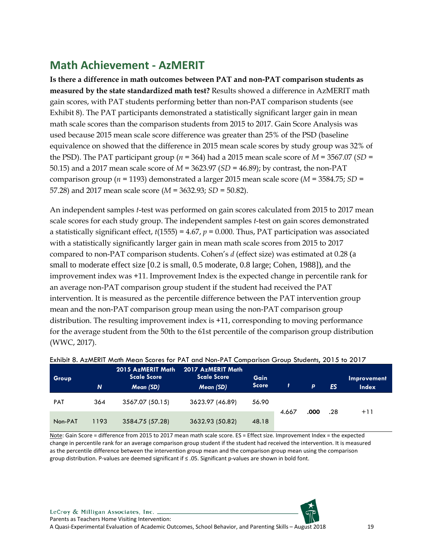## <span id="page-19-0"></span>**Math Achievement - AzMERIT**

**Is there a difference in math outcomes between PAT and non-PAT comparison students as measured by the state standardized math test?** Results showed a difference in AzMERIT math gain scores, with PAT students performing better than non-PAT comparison students (see Exhibit 8). The PAT participants demonstrated a statistically significant larger gain in mean math scale scores than the comparison students from 2015 to 2017. Gain Score Analysis was used because 2015 mean scale score difference was greater than 25% of the PSD (baseline equivalence on showed that the difference in 2015 mean scale scores by study group was 32% of the PSD). The PAT participant group ( $n = 364$ ) had a 2015 mean scale score of  $M = 3567.07$  ( $SD =$ 50.15) and a 2017 mean scale score of *M* = 3623.97 (*SD* = 46.89); by contrast, the non-PAT comparison group (*n* = 1193) demonstrated a larger 2015 mean scale score (*M* = 3584.75; *SD* = 57.28) and 2017 mean scale score (*M* = 3632.93; *SD* = 50.82).

An independent samples *t*-test was performed on gain scores calculated from 2015 to 2017 mean scale scores for each study group. The independent samples *t*-test on gain scores demonstrated a statistically significant effect, *t*(1555) = 4.67, *p* = 0.000. Thus, PAT participation was associated with a statistically significantly larger gain in mean math scale scores from 2015 to 2017 compared to non-PAT comparison students. Cohen's *d* (effect size) was estimated at 0.28 (a small to moderate effect size [0.2 is small, 0.5 moderate, 0.8 large; Cohen, 1988]), and the improvement index was +11. Improvement Index is the expected change in percentile rank for an average non-PAT comparison group student if the student had received the PAT intervention. It is measured as the percentile difference between the PAT intervention group mean and the non-PAT comparison group mean using the non-PAT comparison group distribution. The resulting improvement index is +11, corresponding to moving performance for the average student from the 50th to the 61st percentile of the comparison group distribution (WWC, 2017).

| Group      | 'N.  | 2015 AzMERIT Math<br><b>Scale Score</b><br>Mean (SD) | 2017 AzMERIT Math<br><b>Scale Score</b><br>Mean (SD) | Gain<br><b>Score</b> | t.    | <b>p</b> | ES  | Improvement<br><b>Index</b> |
|------------|------|------------------------------------------------------|------------------------------------------------------|----------------------|-------|----------|-----|-----------------------------|
| <b>PAT</b> | 364  | 3567.07 (50.15)                                      | 3623.97 (46.89)                                      | 56.90                |       |          |     |                             |
| Non-PAT    | 1193 | 3584.75 (57.28)                                      | 3632.93 (50.82)                                      | 48.18                | 4.667 | .000     | .28 | $+11$                       |

<span id="page-19-1"></span>

|  |  | Exhibit 8. AzMERIT Math Mean Scores for PAT and Non-PAT Comparison Group Students, 2015 to 2017 |  |  |  |
|--|--|-------------------------------------------------------------------------------------------------|--|--|--|
|  |  |                                                                                                 |  |  |  |

Note: Gain Score = difference from 2015 to 2017 mean math scale score. ES = Effect size. Improvement Index = the expected change in percentile rank for an average comparison group student if the student had received the intervention. It is measured as the percentile difference between the intervention group mean and the comparison group mean using the comparison group distribution. P-values are deemed significant if ≤ .05. Significant p-values are shown in bold font.

LeCroy & Milligan Associates, Inc. . Parents as Teachers Home Visiting Intervention:

A Quasi-Experimental Evaluation of Academic Outcomes, School Behavior, and Parenting Skills – August 2018 19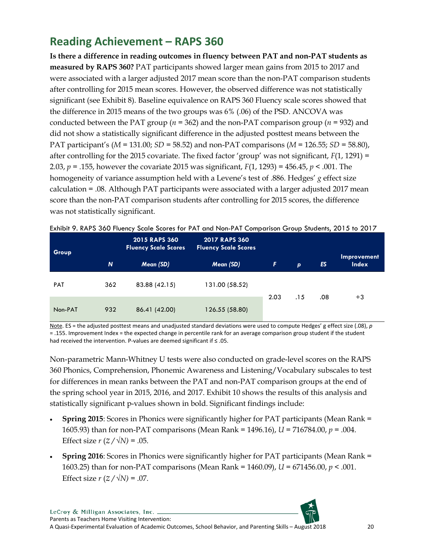## <span id="page-20-0"></span>**Reading Achievement – RAPS 360**

**Is there a difference in reading outcomes in fluency between PAT and non-PAT students as measured by RAPS 360?** PAT participants showed larger mean gains from 2015 to 2017 and were associated with a larger adjusted 2017 mean score than the non-PAT comparison students after controlling for 2015 mean scores. However, the observed difference was not statistically significant (see Exhibit 8). Baseline equivalence on RAPS 360 Fluency scale scores showed that the difference in 2015 means of the two groups was 6% (.06) of the PSD. ANCOVA was conducted between the PAT group (*n* = 362) and the non-PAT comparison group (*n* = 932) and did not show a statistically significant difference in the adjusted posttest means between the PAT participant's (*M* = 131.00; *SD* = 58.52) and non-PAT comparisons (*M* = 126.55; *SD* = 58.80), after controlling for the 2015 covariate. The fixed factor 'group' was not significant, *F*(1, 1291) = 2.03, *p* = .155, however the covariate 2015 was significant, *F*(1, 1293) = 456.45, *p* < .001. The homogeneity of variance assumption held with a Levene's test of .886. Hedges' *g* effect size calculation = .08. Although PAT participants were associated with a larger adjusted 2017 mean score than the non-PAT comparison students after controlling for 2015 scores, the difference was not statistically significant.

| <b>Group</b> |          | <b>2015 RAPS 360</b><br><b>Fluency Scale Scores</b> | <b>2017 RAPS 360</b><br><b>Fluency Scale Scores</b> |      |              |     |                             |
|--------------|----------|-----------------------------------------------------|-----------------------------------------------------|------|--------------|-----|-----------------------------|
|              | <b>N</b> | Mean (SD)                                           | Mean (SD)                                           | F    | $\mathbf{p}$ | ES  | Improvement<br><b>Index</b> |
| <b>PAT</b>   | 362      | 83.88 (42.15)                                       | 131.00 (58.52)                                      |      |              |     |                             |
| Non-PAT      | 932      | 86.41 (42.00)                                       | 126.55 (58.80)                                      | 2.03 | .15          | .08 | $+3$                        |

<span id="page-20-1"></span>Exhibit 9. RAPS 360 Fluency Scale Scores for PAT and Non-PAT Comparison Group Students, 2015 to 2017

Note. ES = the adjusted posttest means and unadjusted standard deviations were used to compute Hedges' g effect size (.08), *p* = .155. Improvement Index = the expected change in percentile rank for an average comparison group student if the student had received the intervention. P-values are deemed significant if ≤ .05.

Non-parametric Mann-Whitney U tests were also conducted on grade-level scores on the RAPS 360 Phonics, Comprehension, Phonemic Awareness and Listening/Vocabulary subscales to test for differences in mean ranks between the PAT and non-PAT comparison groups at the end of the spring school year in 2015, 2016, and 2017. Exhibit 10 shows the results of this analysis and statistically significant p-values shown in bold. Significant findings include:

- **Spring 2015**: Scores in Phonics were significantly higher for PAT participants (Mean Rank = 1605.93) than for non-PAT comparisons (Mean Rank = 1496.16), *U* = 716784.00, *p* = .004. Effect size  $r (Z / \sqrt{N}) = .05$ .
- **Spring 2016**: Scores in Phonics were significantly higher for PAT participants (Mean Rank = 1603.25) than for non-PAT comparisons (Mean Rank = 1460.09), *U* = 671456.00, *p* < .001. Effect size  $r (Z / \sqrt{N}) = .07$ .

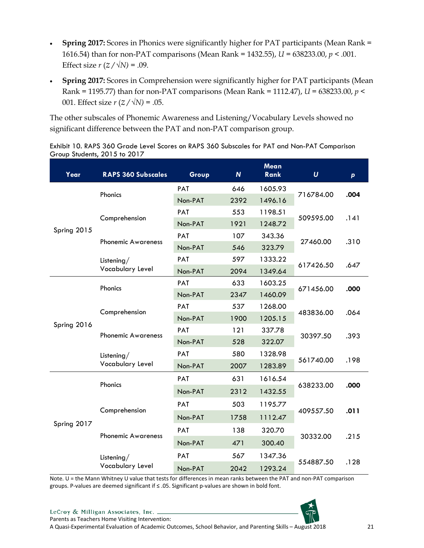- **Spring 2017:** Scores in Phonics were significantly higher for PAT participants (Mean Rank = 1616.54) than for non-PAT comparisons (Mean Rank = 1432.55), *U* = 638233.00, *p* < .001. Effect size  $r$  ( $z / \sqrt{N}$ ) = .09.
- **Spring 2017:** Scores in Comprehension were significantly higher for PAT participants (Mean Rank = 1195.77) than for non-PAT comparisons (Mean Rank = 1112.47), *U* = 638233.00, *p* < 001. Effect size  $r (Z / \sqrt{N}) = .05$ .

The other subscales of Phonemic Awareness and Listening/Vocabulary Levels showed no significant difference between the PAT and non-PAT comparison group.

| Year                                                                                                                                                                                                                                                                                                                                                                                                                                                                                                                                                                                                    | <b>RAPS 360 Subscales</b>                             | Group                                                                                                                                                                                                                                                                                                                                                                                        | $\boldsymbol{N}$ | Mean<br><b>Rank</b> | $\boldsymbol{U}$ | $\mathsf{p}$ |  |
|---------------------------------------------------------------------------------------------------------------------------------------------------------------------------------------------------------------------------------------------------------------------------------------------------------------------------------------------------------------------------------------------------------------------------------------------------------------------------------------------------------------------------------------------------------------------------------------------------------|-------------------------------------------------------|----------------------------------------------------------------------------------------------------------------------------------------------------------------------------------------------------------------------------------------------------------------------------------------------------------------------------------------------------------------------------------------------|------------------|---------------------|------------------|--------------|--|
|                                                                                                                                                                                                                                                                                                                                                                                                                                                                                                                                                                                                         |                                                       | PAT                                                                                                                                                                                                                                                                                                                                                                                          | 646              | 1605.93             |                  |              |  |
|                                                                                                                                                                                                                                                                                                                                                                                                                                                                                                                                                                                                         | Phonics                                               | Non-PAT                                                                                                                                                                                                                                                                                                                                                                                      | 2392             | 1496.16             |                  | .004         |  |
| PAT<br>553<br>1198.51<br>Comprehension<br>Non-PAT<br>1921<br>1248.72<br>Spring 2015<br>PAT<br>107<br>343.36<br><b>Phonemic Awareness</b><br>Non-PAT<br>323.79<br>546<br>PAT<br>597<br>1333.22<br>Listening/<br>Vocabulary Level<br>Non-PAT<br>2094<br>1349.64<br>633<br>1603.25<br><b>PAT</b><br>Phonics<br>Non-PAT<br>2347<br>1460.09<br>PAT<br>537<br>1268.00<br>Comprehension<br>Non-PAT<br>1900<br>1205.15<br>Spring 2016<br>121<br>PAT<br>337.78<br><b>Phonemic Awareness</b><br>Non-PAT<br>528<br>322.07<br>PAT<br>580<br>1328.98<br>Listening/<br>Vocabulary Level<br>Non-PAT<br>2007<br>1283.89 |                                                       | .141                                                                                                                                                                                                                                                                                                                                                                                         |                  |                     |                  |              |  |
|                                                                                                                                                                                                                                                                                                                                                                                                                                                                                                                                                                                                         |                                                       | 716784.00<br>509595.00<br>27460.00<br>617426.50<br>671456.00<br>483836.00<br>30397.50<br>561740.00<br>631<br>PAT<br>1616.54<br>638233.00<br>Non-PAT<br>2312<br>1432.55<br>503<br>1195.77<br><b>PAT</b><br>409557.50<br>Non-PAT<br>1758<br>1112.47<br>138<br>PAT<br>320.70<br>30332.00<br>Non-PAT<br>471<br>300.40<br>1347.36<br><b>PAT</b><br>567<br>554887.50<br>2042<br>1293.24<br>Non-PAT |                  |                     |                  |              |  |
|                                                                                                                                                                                                                                                                                                                                                                                                                                                                                                                                                                                                         |                                                       |                                                                                                                                                                                                                                                                                                                                                                                              |                  |                     |                  | .310         |  |
|                                                                                                                                                                                                                                                                                                                                                                                                                                                                                                                                                                                                         |                                                       |                                                                                                                                                                                                                                                                                                                                                                                              |                  |                     |                  |              |  |
|                                                                                                                                                                                                                                                                                                                                                                                                                                                                                                                                                                                                         |                                                       |                                                                                                                                                                                                                                                                                                                                                                                              |                  |                     |                  |              |  |
|                                                                                                                                                                                                                                                                                                                                                                                                                                                                                                                                                                                                         |                                                       |                                                                                                                                                                                                                                                                                                                                                                                              |                  |                     |                  | .647         |  |
|                                                                                                                                                                                                                                                                                                                                                                                                                                                                                                                                                                                                         |                                                       |                                                                                                                                                                                                                                                                                                                                                                                              |                  |                     |                  |              |  |
|                                                                                                                                                                                                                                                                                                                                                                                                                                                                                                                                                                                                         |                                                       |                                                                                                                                                                                                                                                                                                                                                                                              |                  |                     |                  | .000         |  |
|                                                                                                                                                                                                                                                                                                                                                                                                                                                                                                                                                                                                         |                                                       |                                                                                                                                                                                                                                                                                                                                                                                              |                  |                     |                  |              |  |
|                                                                                                                                                                                                                                                                                                                                                                                                                                                                                                                                                                                                         |                                                       |                                                                                                                                                                                                                                                                                                                                                                                              |                  |                     |                  | .064         |  |
|                                                                                                                                                                                                                                                                                                                                                                                                                                                                                                                                                                                                         |                                                       |                                                                                                                                                                                                                                                                                                                                                                                              |                  |                     |                  | .393         |  |
|                                                                                                                                                                                                                                                                                                                                                                                                                                                                                                                                                                                                         |                                                       |                                                                                                                                                                                                                                                                                                                                                                                              |                  |                     |                  |              |  |
|                                                                                                                                                                                                                                                                                                                                                                                                                                                                                                                                                                                                         |                                                       |                                                                                                                                                                                                                                                                                                                                                                                              |                  |                     |                  |              |  |
|                                                                                                                                                                                                                                                                                                                                                                                                                                                                                                                                                                                                         | Phonics<br>Comprehension<br><b>Phonemic Awareness</b> |                                                                                                                                                                                                                                                                                                                                                                                              |                  | .198                |                  |              |  |
|                                                                                                                                                                                                                                                                                                                                                                                                                                                                                                                                                                                                         |                                                       |                                                                                                                                                                                                                                                                                                                                                                                              |                  |                     |                  |              |  |
|                                                                                                                                                                                                                                                                                                                                                                                                                                                                                                                                                                                                         |                                                       |                                                                                                                                                                                                                                                                                                                                                                                              |                  |                     |                  | .000         |  |
|                                                                                                                                                                                                                                                                                                                                                                                                                                                                                                                                                                                                         |                                                       |                                                                                                                                                                                                                                                                                                                                                                                              |                  |                     |                  |              |  |
|                                                                                                                                                                                                                                                                                                                                                                                                                                                                                                                                                                                                         |                                                       |                                                                                                                                                                                                                                                                                                                                                                                              |                  |                     |                  | .011         |  |
| Spring 2017                                                                                                                                                                                                                                                                                                                                                                                                                                                                                                                                                                                             |                                                       |                                                                                                                                                                                                                                                                                                                                                                                              |                  |                     |                  |              |  |
|                                                                                                                                                                                                                                                                                                                                                                                                                                                                                                                                                                                                         |                                                       |                                                                                                                                                                                                                                                                                                                                                                                              |                  |                     |                  | .215         |  |
|                                                                                                                                                                                                                                                                                                                                                                                                                                                                                                                                                                                                         | Listening/                                            |                                                                                                                                                                                                                                                                                                                                                                                              |                  |                     |                  | .128         |  |
|                                                                                                                                                                                                                                                                                                                                                                                                                                                                                                                                                                                                         | Vocabulary Level                                      |                                                                                                                                                                                                                                                                                                                                                                                              |                  |                     |                  |              |  |

<span id="page-21-0"></span>Exhibit 10. RAPS 360 Grade Level Scores on RAPS 360 Subscales for PAT and Non-PAT Comparison Group Students, 2015 to 2017

Note. U = the Mann Whitney U value that tests for differences in mean ranks between the PAT and non-PAT comparison groups. P-values are deemed significant if ≤ .05. Significant p-values are shown in bold font.



LeCroy & Milligan Associates, Inc. \_ Parents as Teachers Home Visiting Intervention:

A Quasi-Experimental Evaluation of Academic Outcomes, School Behavior, and Parenting Skills – August 2018 21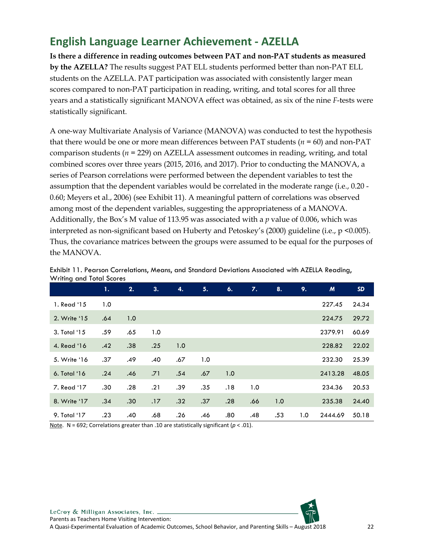### <span id="page-22-0"></span>**English Language Learner Achievement - AZELLA**

**Is there a difference in reading outcomes between PAT and non-PAT students as measured by the AZELLA?** The results suggest PAT ELL students performed better than non-PAT ELL students on the AZELLA. PAT participation was associated with consistently larger mean scores compared to non-PAT participation in reading, writing, and total scores for all three years and a statistically significant MANOVA effect was obtained, as six of the nine *F*-tests were statistically significant.

A one-way Multivariate Analysis of Variance (MANOVA) was conducted to test the hypothesis that there would be one or more mean differences between PAT students (*n* = 60) and non-PAT comparison students (*n* = 229) on AZELLA assessment outcomes in reading, writing, and total combined scores over three years (2015, 2016, and 2017). Prior to conducting the MANOVA, a series of Pearson correlations were performed between the dependent variables to test the assumption that the dependent variables would be correlated in the moderate range (i.e., 0.20 - 0.60; Meyers et al., 2006) (see Exhibit 11). A meaningful pattern of correlations was observed among most of the dependent variables, suggesting the appropriateness of a MANOVA. Additionally, the Box's M value of 113.95 was associated with a *p* value of 0.006, which was interpreted as non-significant based on Huberty and Petoskey's (2000) guideline (i.e., p <0.005). Thus, the covariance matrices between the groups were assumed to be equal for the purposes of the MANOVA.

|              | 1.  | 2.               | 3.  | 4.  | 5.  | 6.  | 7.  | 8.  | 9.  | M       | <b>SD</b> |
|--------------|-----|------------------|-----|-----|-----|-----|-----|-----|-----|---------|-----------|
| 1. Read '15  | 1.0 |                  |     |     |     |     |     |     |     | 227.45  | 24.34     |
| 2. Write '15 | .64 | 1.0              |     |     |     |     |     |     |     | 224.75  | 29.72     |
| 3. Total '15 | .59 | .65              | 1.0 |     |     |     |     |     |     | 2379.91 | 60.69     |
| 4. Read '16  | .42 | .38              | .25 | 1.0 |     |     |     |     |     | 228.82  | 22.02     |
| 5. Write '16 | .37 | .49              | .40 | .67 | 1.0 |     |     |     |     | 232.30  | 25.39     |
| 6. Total '16 | .24 | .46              | .71 | .54 | .67 | 1.0 |     |     |     | 2413.28 | 48.05     |
| 7. Read '17  | .30 | .28              | .21 | .39 | .35 | .18 | 1.0 |     |     | 234.36  | 20.53     |
| 8. Write '17 | .34 | .30 <sub>0</sub> | .17 | .32 | .37 | .28 | .66 | 1.0 |     | 235.38  | 24.40     |
| 9. Total '17 | .23 | .40              | .68 | .26 | .46 | .80 | .48 | .53 | 1.0 | 2444.69 | 50.18     |

<span id="page-22-1"></span>

| Exhibit 11. Pearson Correlations, Means, and Standard Deviations Associated with AZELLA Reading, |  |
|--------------------------------------------------------------------------------------------------|--|
| Writing and Total Scores                                                                         |  |

Note. N = 692; Correlations greater than .10 are statistically significant (*p* < .01).

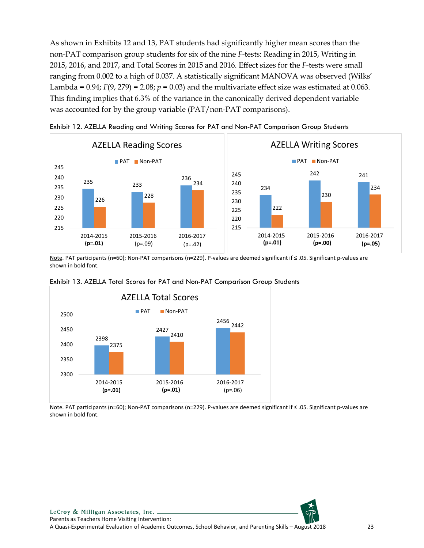As shown in Exhibits 12 and 13, PAT students had significantly higher mean scores than the non-PAT comparison group students for six of the nine *F*-tests: Reading in 2015, Writing in 2015, 2016, and 2017, and Total Scores in 2015 and 2016. Effect sizes for the *F*-tests were small ranging from 0.002 to a high of 0.037. A statistically significant MANOVA was observed (Wilks' Lambda =  $0.94$ ;  $F(9, 279) = 2.08$ ;  $p = 0.03$ ) and the multivariate effect size was estimated at 0.063. This finding implies that 6.3% of the variance in the canonically derived dependent variable was accounted for by the group variable (PAT/non-PAT comparisons).



<span id="page-23-0"></span>

Note. PAT participants (n=60); Non-PAT comparisons (n=229). P-values are deemed significant if ≤ .05. Significant p-values are shown in bold font.



<span id="page-23-1"></span>

Note. PAT participants (n=60); Non-PAT comparisons (n=229). P-values are deemed significant if ≤ .05. Significant p-values are shown in bold font.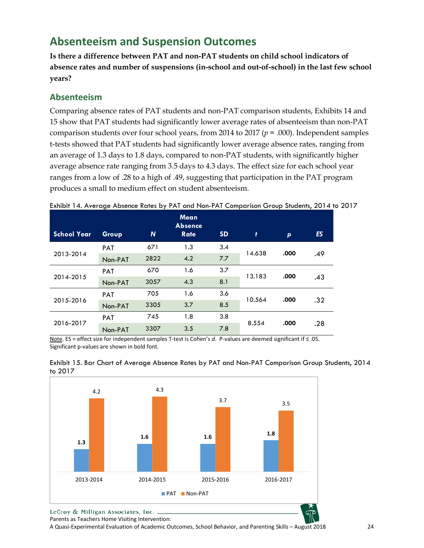## <span id="page-24-0"></span>**Absenteeism and Suspension Outcomes**

**Is there a difference between PAT and non-PAT students on child school indicators of absence rates and number of suspensions (in-school and out-of-school) in the last few school years?**

#### <span id="page-24-1"></span>**Absenteeism**

Comparing absence rates of PAT students and non-PAT comparison students, Exhibits 14 and 15 show that PAT students had significantly lower average rates of absenteeism than non-PAT comparison students over four school years, from 2014 to 2017 (*p* = .000). Independent samples t-tests showed that PAT students had significantly lower average absence rates, ranging from an average of 1.3 days to 1.8 days, compared to non-PAT students, with significantly higher average absence rate ranging from 3.5 days to 4.3 days. The effect size for each school year ranges from a low of .28 to a high of .49, suggesting that participation in the PAT program produces a small to medium effect on student absenteeism.

| <b>School Year</b> | Group      | N    | <b>Mean</b><br><b>Absence</b><br><b>Rate</b> | <b>SD</b> | Ŧ      | p    | <b>ES</b> |
|--------------------|------------|------|----------------------------------------------|-----------|--------|------|-----------|
|                    | <b>PAT</b> | 671  | 1.3                                          | 3.4       | 14.638 | .000 |           |
| 2013-2014          | Non-PAT    | 2822 | 4.2                                          | 7.7       |        |      | .49       |
| 2014-2015          | <b>PAT</b> | 670  | 1.6                                          | 3.7       | 13.183 | .000 |           |
|                    | Non-PAT    | 3057 | 4.3                                          | 8.1       |        |      | .43       |
| 2015-2016          | <b>PAT</b> | 705  | 1.6                                          | 3.6       | 10.564 | .000 |           |
|                    | Non-PAT    | 3305 | 3.7                                          | 8.5       |        |      | .32       |
|                    | <b>PAT</b> | 745  | 1.8                                          | 3.8       | 8.554  | .000 |           |
| 2016-2017          | Non-PAT    | 3307 | 3.5                                          | 7.8       |        |      | .28       |

<span id="page-24-2"></span>Exhibit 14. Average Absence Rates by PAT and Non-PAT Comparison Group Students, 2014 to 2017

Note. ES = effect size for independent samples T-test is Cohen's *d.* P-values are deemed significant if ≤ .05. Significant p-values are shown in bold font.



<span id="page-24-3"></span>

Parents as Teachers Home Visiting Intervention:

A Quasi-Experimental Evaluation of Academic Outcomes, School Behavior, and Parenting Skills – August 2018 24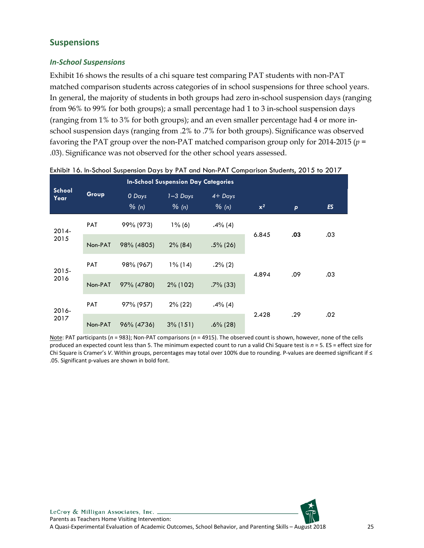### <span id="page-25-0"></span>**Suspensions**

#### *In-School Suspensions*

Exhibit 16 shows the results of a chi square test comparing PAT students with non-PAT matched comparison students across categories of in school suspensions for three school years. In general, the majority of students in both groups had zero in-school suspension days (ranging from 96% to 99% for both groups); a small percentage had 1 to 3 in-school suspension days (ranging from 1% to 3% for both groups); and an even smaller percentage had 4 or more inschool suspension days (ranging from .2% to .7% for both groups). Significance was observed favoring the PAT group over the non-PAT matched comparison group only for 2014-2015 (*p* = .03). Significance was not observed for the other school years assessed.

|                       |            | <b>In-School Suspension Day Categories</b> |                                   |                      |       |              |     |
|-----------------------|------------|--------------------------------------------|-----------------------------------|----------------------|-------|--------------|-----|
| <b>School</b><br>Year | Group      | 0 Days<br>% (n)                            | $1 - 3$ Days<br>$\frac{9}{6}$ (n) | $4+$ Days<br>$%$ (n) | $x^2$ | $\mathsf{p}$ | ES  |
| $2014 -$<br>2015      | <b>PAT</b> | 99% (973)                                  | $1\%$ (6)                         | $.4\%(4)$            |       |              |     |
|                       | Non-PAT    | 98% (4805)                                 | $2\%$ (84)                        | $.5\%$ (26)          | 6.845 | .03          | .03 |
| $2015 -$<br>2016      | <b>PAT</b> | 98% (967)                                  | $1\%$ (14)                        | $.2\%$ (2)           |       |              |     |
|                       | Non-PAT    | 97% (4780)                                 | $2\%$ (102)                       | $.7\%$ (33)          | 4.894 | .09          | .03 |
| 2016-                 | <b>PAT</b> | 97% (957)                                  | $2\%$ (22)                        | $.4\%(4)$            |       |              |     |
| 2017                  | Non-PAT    | 96% (4736)                                 | $3\%$ (151)                       | $.6\%$ (28)          | 2.428 | .29          | .02 |

<span id="page-25-1"></span>Exhibit 16. In-School Suspension Days by PAT and Non-PAT Comparison Students, 2015 to 2017

Note: PAT participants (*n* = 983); Non-PAT comparisons (*n* = 4915). The observed count is shown, however, none of the cells produced an expected count less than 5. The minimum expected count to run a valid Chi Square test is *n* = 5. ES = effect size for Chi Square is Cramer's *V*. Within groups, percentages may total over 100% due to rounding. P-values are deemed significant if ≤ .05. Significant p-values are shown in bold font.

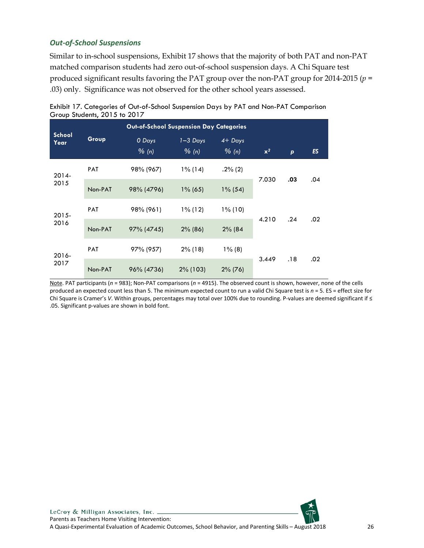#### *Out-of-School Suspensions*

Similar to in-school suspensions, Exhibit 17 shows that the majority of both PAT and non-PAT matched comparison students had zero out-of-school suspension days. A Chi Square test produced significant results favoring the PAT group over the non-PAT group for 2014-2015 (*p* = .03) only. Significance was not observed for the other school years assessed.

|                | Out-of-School Suspension Day Categories |                 |                       |                    |       |              |     |  |  |
|----------------|-----------------------------------------|-----------------|-----------------------|--------------------|-------|--------------|-----|--|--|
| School<br>Year | Group                                   | 0 Days<br>% (n) | $1 - 3$ Days<br>% (n) | $4+$ Days<br>% (n) | $x^2$ | $\mathbf{p}$ | ES  |  |  |
| $2014 -$       | <b>PAT</b>                              | 98% (967)       | $1\%$ (14)            | $.2\%$ (2)         |       |              |     |  |  |
| 2015           | Non-PAT                                 | 98% (4796)      | $1\%$ (65)            | $1\%$ (54)         | 7.030 | .03          | .04 |  |  |
| $2015 -$       | <b>PAT</b>                              | 98% (961)       | $1\%$ (12)            | $1\%$ (10)         |       |              |     |  |  |
| 2016           | Non-PAT                                 | 97% (4745)      | $2\%$ (86)            | 2% (84             | 4.210 | .24          | .02 |  |  |
| 2016-          | <b>PAT</b>                              | 97% (957)       | $2\%$ (18)            | $1\%$ (8)          |       |              |     |  |  |
| 2017           | Non-PAT                                 | 96% (4736)      | 2% (103)              | $2\%$ (76)         | 3.449 | .18          | .02 |  |  |

<span id="page-26-0"></span>

| Exhibit 17. Categories of Out-of-School Suspension Days by PAT and Non-PAT Comparison |  |
|---------------------------------------------------------------------------------------|--|
| Group Students, 2015 to 2017                                                          |  |

Note. PAT participants (*n* = 983); Non-PAT comparisons (*n* = 4915). The observed count is shown, however, none of the cells produced an expected count less than 5. The minimum expected count to run a valid Chi Square test is *n* = 5. ES = effect size for Chi Square is Cramer's *V*. Within groups, percentages may total over 100% due to rounding. P-values are deemed significant if ≤ .05. Significant p-values are shown in bold font.

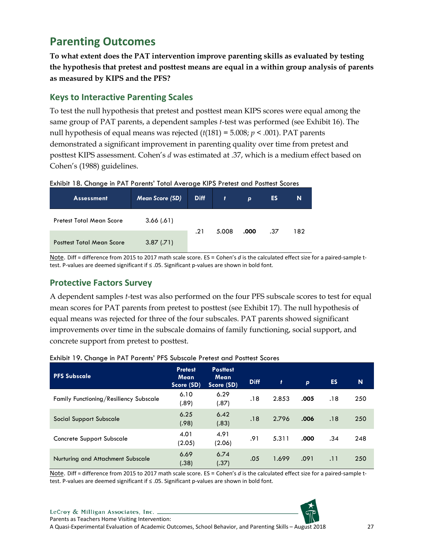### <span id="page-27-0"></span>**Parenting Outcomes**

**To what extent does the PAT intervention improve parenting skills as evaluated by testing the hypothesis that pretest and posttest means are equal in a within group analysis of parents as measured by KIPS and the PFS?**

#### <span id="page-27-1"></span>**Keys to Interactive Parenting Scales**

To test the null hypothesis that pretest and posttest mean KIPS scores were equal among the same group of PAT parents, a dependent samples *t-*test was performed (see Exhibit 16). The null hypothesis of equal means was rejected (*t*(181) = 5.008; *p* < .001). PAT parents demonstrated a significant improvement in parenting quality over time from pretest and posttest KIPS assessment. Cohen's *d* was estimated at .37, which is a medium effect based on Cohen's (1988) guidelines.

<span id="page-27-3"></span>

| Exhibit 18. Change in PAT Parents' Total Average KIPS Pretest and Posttest Scores |  |  |  |  |  |  |
|-----------------------------------------------------------------------------------|--|--|--|--|--|--|
|-----------------------------------------------------------------------------------|--|--|--|--|--|--|

| <b>Assessment</b>                             | <b>Mean Score (SD)</b> | <b>Diff</b> | Ŧ     | p    | ES  | 'N. |
|-----------------------------------------------|------------------------|-------------|-------|------|-----|-----|
| Pretest Total Mean Score                      | 3.66(.61)              |             |       |      |     |     |
| 3.87(.71)<br><b>Posttest Total Mean Score</b> |                        | .21         | 5.008 | .000 | .37 | 182 |

Note. Diff = difference from 2015 to 2017 math scale score. ES = Cohen's *d* is the calculated effect size for a paired-sample ttest. P-values are deemed significant if ≤ .05. Significant p-values are shown in bold font.

#### <span id="page-27-2"></span>**Protective Factors Survey**

A dependent samples *t-*test was also performed on the four PFS subscale scores to test for equal mean scores for PAT parents from pretest to posttest (see Exhibit 17). The null hypothesis of equal means was rejected for three of the four subscales. PAT parents showed significant improvements over time in the subscale domains of family functioning, social support, and concrete support from pretest to posttest.

| <b>PFS Subscale</b>                    | <b>Pretest</b><br>Mean<br>Score (SD) | <b>Posttest</b><br><b>Mean</b><br>Score (SD) | <b>Diff</b> | $\mathbf{f}$ | p    | ES. | N   |
|----------------------------------------|--------------------------------------|----------------------------------------------|-------------|--------------|------|-----|-----|
| Family Functioning/Resiliency Subscale | 6.10<br>(.89)                        | 6.29<br>(.87)                                | .18         | 2.853        | .005 | .18 | 250 |
| Social Support Subscale                | 6.25<br>(.98)                        | 6.42<br>(.83)                                | .18         | 2.796        | .006 | .18 | 250 |
| Concrete Support Subscale              | 4.01<br>(2.05)                       | 4.91<br>(2.06)                               | .91         | 5.311        | .000 | .34 | 248 |
| Nurturing and Attachment Subscale      | 6.69<br>(.38)                        | 6.74<br>(.37)                                | .05         | 1.699        | .091 | .11 | 250 |

#### <span id="page-27-4"></span>Exhibit 19. Change in PAT Parents' PFS Subscale Pretest and Posttest Scores

Note. Diff = difference from 2015 to 2017 math scale score. ES = Cohen's *d* is the calculated effect size for a paired-sample ttest. P-values are deemed significant if ≤ .05. Significant p-values are shown in bold font.



LeCroy & Milligan Associates, Inc. \_ Parents as Teachers Home Visiting Intervention:

A Quasi-Experimental Evaluation of Academic Outcomes, School Behavior, and Parenting Skills – August 2018 27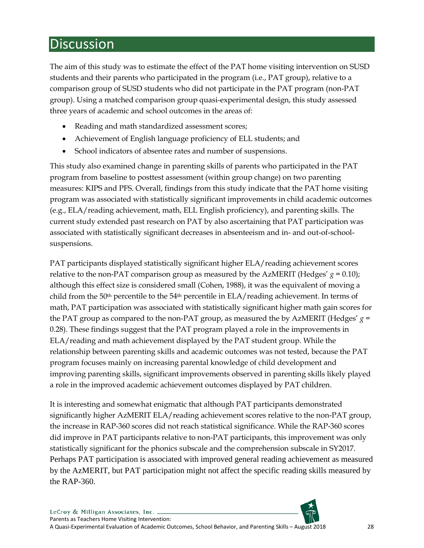# <span id="page-28-0"></span>**Discussion**

The aim of this study was to estimate the effect of the PAT home visiting intervention on SUSD students and their parents who participated in the program (i.e., PAT group), relative to a comparison group of SUSD students who did not participate in the PAT program (non-PAT group). Using a matched comparison group quasi-experimental design, this study assessed three years of academic and school outcomes in the areas of:

- Reading and math standardized assessment scores;
- Achievement of English language proficiency of ELL students; and
- School indicators of absentee rates and number of suspensions.

This study also examined change in parenting skills of parents who participated in the PAT program from baseline to posttest assessment (within group change) on two parenting measures: KIPS and PFS. Overall, findings from this study indicate that the PAT home visiting program was associated with statistically significant improvements in child academic outcomes (e.g., ELA/reading achievement, math, ELL English proficiency), and parenting skills. The current study extended past research on PAT by also ascertaining that PAT participation was associated with statistically significant decreases in absenteeism and in- and out-of-schoolsuspensions.

PAT participants displayed statistically significant higher ELA/reading achievement scores relative to the non-PAT comparison group as measured by the AzMERIT (Hedges'  $g = 0.10$ ); although this effect size is considered small (Cohen, 1988), it was the equivalent of moving a child from the 50th percentile to the 54th percentile in ELA/reading achievement. In terms of math, PAT participation was associated with statistically significant higher math gain scores for the PAT group as compared to the non-PAT group, as measured the by AzMERIT (Hedges' *g* = 0.28). These findings suggest that the PAT program played a role in the improvements in ELA/reading and math achievement displayed by the PAT student group. While the relationship between parenting skills and academic outcomes was not tested, because the PAT program focuses mainly on increasing parental knowledge of child development and improving parenting skills, significant improvements observed in parenting skills likely played a role in the improved academic achievement outcomes displayed by PAT children.

It is interesting and somewhat enigmatic that although PAT participants demonstrated significantly higher AzMERIT ELA/reading achievement scores relative to the non-PAT group, the increase in RAP-360 scores did not reach statistical significance. While the RAP-360 scores did improve in PAT participants relative to non-PAT participants, this improvement was only statistically significant for the phonics subscale and the comprehension subscale in SY2017. Perhaps PAT participation is associated with improved general reading achievement as measured by the AzMERIT, but PAT participation might not affect the specific reading skills measured by the RAP-360.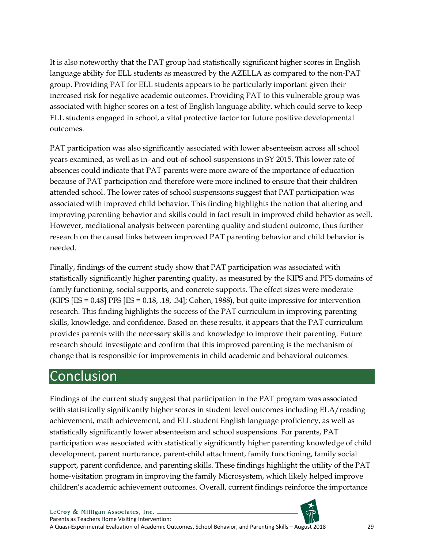It is also noteworthy that the PAT group had statistically significant higher scores in English language ability for ELL students as measured by the AZELLA as compared to the non-PAT group. Providing PAT for ELL students appears to be particularly important given their increased risk for negative academic outcomes. Providing PAT to this vulnerable group was associated with higher scores on a test of English language ability, which could serve to keep ELL students engaged in school, a vital protective factor for future positive developmental outcomes.

PAT participation was also significantly associated with lower absenteeism across all school years examined, as well as in- and out-of-school-suspensions in SY 2015. This lower rate of absences could indicate that PAT parents were more aware of the importance of education because of PAT participation and therefore were more inclined to ensure that their children attended school. The lower rates of school suspensions suggest that PAT participation was associated with improved child behavior. This finding highlights the notion that altering and improving parenting behavior and skills could in fact result in improved child behavior as well. However, mediational analysis between parenting quality and student outcome, thus further research on the causal links between improved PAT parenting behavior and child behavior is needed.

Finally, findings of the current study show that PAT participation was associated with statistically significantly higher parenting quality, as measured by the KIPS and PFS domains of family functioning, social supports, and concrete supports. The effect sizes were moderate (KIPS [ES = 0.48] PFS [ES = 0.18, .18, .34]; Cohen, 1988), but quite impressive for intervention research. This finding highlights the success of the PAT curriculum in improving parenting skills, knowledge, and confidence. Based on these results, it appears that the PAT curriculum provides parents with the necessary skills and knowledge to improve their parenting. Future research should investigate and confirm that this improved parenting is the mechanism of change that is responsible for improvements in child academic and behavioral outcomes.

# <span id="page-29-0"></span>Conclusion

Findings of the current study suggest that participation in the PAT program was associated with statistically significantly higher scores in student level outcomes including ELA/reading achievement, math achievement, and ELL student English language proficiency, as well as statistically significantly lower absenteeism and school suspensions. For parents, PAT participation was associated with statistically significantly higher parenting knowledge of child development, parent nurturance, parent-child attachment, family functioning, family social support, parent confidence, and parenting skills. These findings highlight the utility of the PAT home-visitation program in improving the family Microsystem, which likely helped improve children's academic achievement outcomes. Overall, current findings reinforce the importance

LeCroy & Milligan Associates, Inc. Parents as Teachers Home Visiting Intervention: A Quasi-Experimental Evaluation of Academic Outcomes, School Behavior, and Parenting Skills – August 2018 29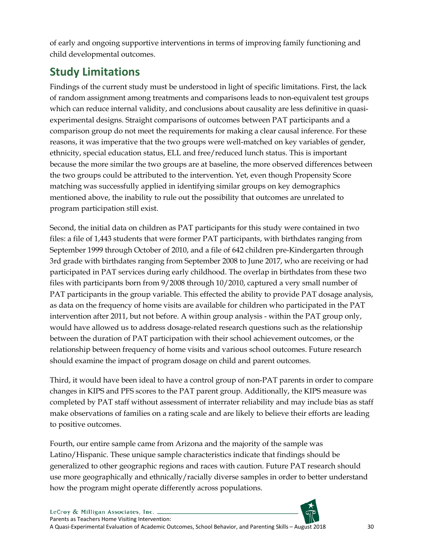of early and ongoing supportive interventions in terms of improving family functioning and child developmental outcomes.

## <span id="page-30-0"></span>**Study Limitations**

Findings of the current study must be understood in light of specific limitations. First, the lack of random assignment among treatments and comparisons leads to non-equivalent test groups which can reduce internal validity, and conclusions about causality are less definitive in quasiexperimental designs. Straight comparisons of outcomes between PAT participants and a comparison group do not meet the requirements for making a clear causal inference. For these reasons, it was imperative that the two groups were well-matched on key variables of gender, ethnicity, special education status, ELL and free/reduced lunch status. This is important because the more similar the two groups are at baseline, the more observed differences between the two groups could be attributed to the intervention. Yet, even though Propensity Score matching was successfully applied in identifying similar groups on key demographics mentioned above, the inability to rule out the possibility that outcomes are unrelated to program participation still exist.

Second, the initial data on children as PAT participants for this study were contained in two files: a file of 1,443 students that were former PAT participants, with birthdates ranging from September 1999 through October of 2010, and a file of 642 children pre-Kindergarten through 3rd grade with birthdates ranging from September 2008 to June 2017, who are receiving or had participated in PAT services during early childhood. The overlap in birthdates from these two files with participants born from 9/2008 through 10/2010, captured a very small number of PAT participants in the group variable. This effected the ability to provide PAT dosage analysis, as data on the frequency of home visits are available for children who participated in the PAT intervention after 2011, but not before. A within group analysis - within the PAT group only, would have allowed us to address dosage-related research questions such as the relationship between the duration of PAT participation with their school achievement outcomes, or the relationship between frequency of home visits and various school outcomes. Future research should examine the impact of program dosage on child and parent outcomes.

Third, it would have been ideal to have a control group of non-PAT parents in order to compare changes in KIPS and PFS scores to the PAT parent group. Additionally, the KIPS measure was completed by PAT staff without assessment of interrater reliability and may include bias as staff make observations of families on a rating scale and are likely to believe their efforts are leading to positive outcomes.

Fourth, our entire sample came from Arizona and the majority of the sample was Latino/Hispanic. These unique sample characteristics indicate that findings should be generalized to other geographic regions and races with caution. Future PAT research should use more geographically and ethnically/racially diverse samples in order to better understand how the program might operate differently across populations.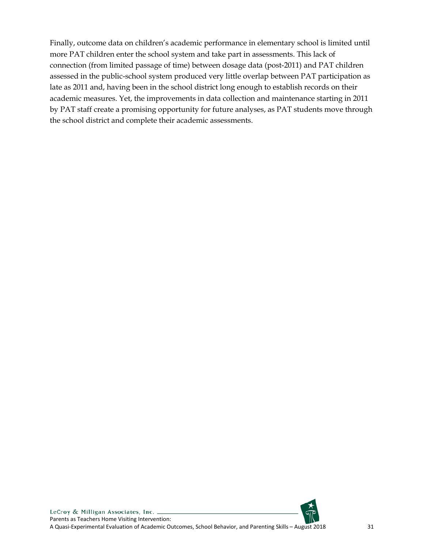Finally, outcome data on children's academic performance in elementary school is limited until more PAT children enter the school system and take part in assessments. This lack of connection (from limited passage of time) between dosage data (post-2011) and PAT children assessed in the public-school system produced very little overlap between PAT participation as late as 2011 and, having been in the school district long enough to establish records on their academic measures. Yet, the improvements in data collection and maintenance starting in 2011 by PAT staff create a promising opportunity for future analyses, as PAT students move through the school district and complete their academic assessments.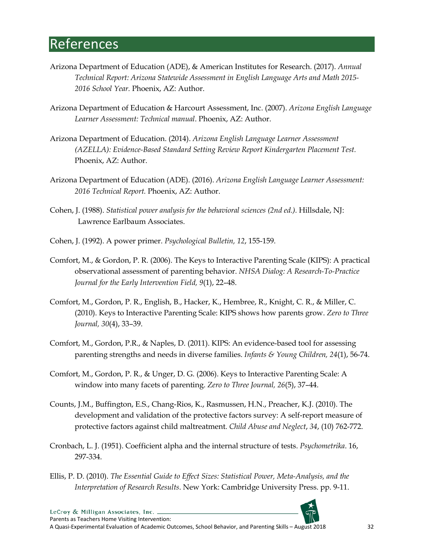## <span id="page-32-0"></span>References

- Arizona Department of Education (ADE), & American Institutes for Research. (2017). *Annual Technical Report: Arizona Statewide Assessment in English Language Arts and Math 2015- 2016 School Year.* Phoenix, AZ: Author.
- Arizona Department of Education & Harcourt Assessment, Inc. (2007). *Arizona English Language Learner Assessment: Technical manual*. Phoenix, AZ: Author.
- Arizona Department of Education. (2014). *Arizona English Language Learner Assessment (AZELLA): Evidence-Based Standard Setting Review Report Kindergarten Placement Test.* Phoenix, AZ: Author.
- Arizona Department of Education (ADE). (2016). *Arizona English Language Learner Assessment: 2016 Technical Report.* Phoenix, AZ: Author.
- Cohen, J. (1988). *Statistical power analysis for the behavioral sciences (2nd ed.).* Hillsdale, NJ: Lawrence Earlbaum Associates.
- Cohen, J. (1992). A power primer. *Psychological Bulletin, 12*, 155-159.
- Comfort, M., & Gordon, P. R. (2006). The Keys to Interactive Parenting Scale (KIPS): A practical observational assessment of parenting behavior. *NHSA Dialog: A Research-To-Practice Journal for the Early Intervention Field, 9*(1), 22–48.
- Comfort, M., Gordon, P. R., English, B., Hacker, K., Hembree, R., Knight, C. R., & Miller, C. (2010). Keys to Interactive Parenting Scale: KIPS shows how parents grow. *Zero to Three Journal, 30*(4), 33–39.
- Comfort, M., Gordon, P.R., & Naples, D. (2011). KIPS: An evidence-based tool for assessing parenting strengths and needs in diverse families. *Infants & Young Children, 24*(1), 56-74.
- Comfort, M., Gordon, P. R., & Unger, D. G. (2006). Keys to Interactive Parenting Scale: A window into many facets of parenting. *Zero to Three Journal, 26*(5), 37–44.
- Counts, J.M., Buffington, E.S., Chang-Rios, K., Rasmussen, H.N., Preacher, K.J. (2010). The development and validation of the protective factors survey: A self-report measure of protective factors against child maltreatment. *Child Abuse and Neglect*, *34*, (10) 762-772.
- Cronbach, L. J. (1951). Coefficient alpha and the internal structure of tests. *Psychometrika*. 16, 297-334.
- Ellis, P. D. (2010). *The Essential Guide to Effect Sizes: Statistical Power, Meta-Analysis, and the Interpretation of Research Results*. New York: Cambridge University Press. pp. 9-11.



LeCroy & Milligan Associates, Inc. Parents as Teachers Home Visiting Intervention: A Quasi-Experimental Evaluation of Academic Outcomes, School Behavior, and Parenting Skills – August 2018 32